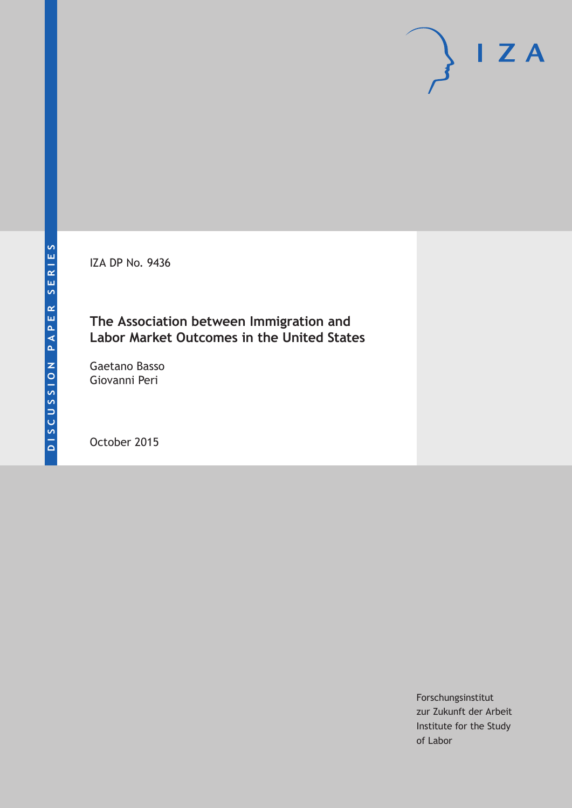IZA DP No. 9436

### **The Association between Immigration and Labor Market Outcomes in the United States**

Gaetano Basso Giovanni Peri

October 2015

Forschungsinstitut zur Zukunft der Arbeit Institute for the Study of Labor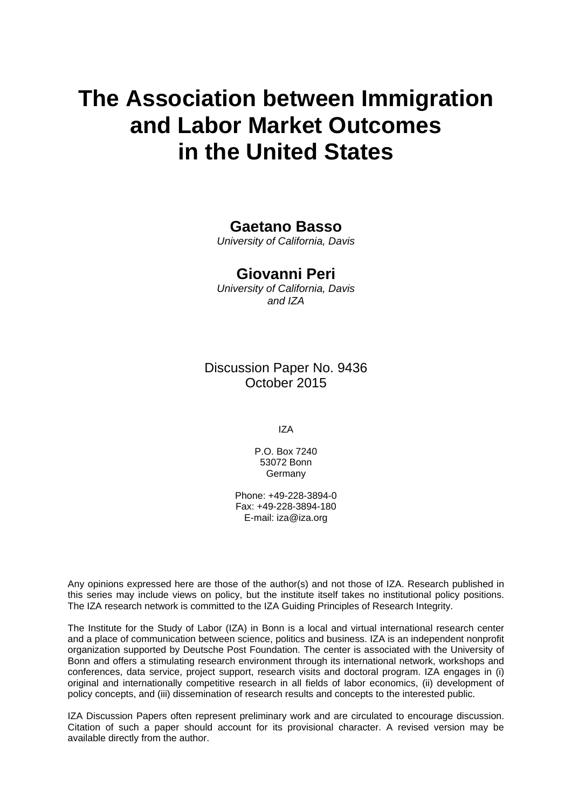# **The Association between Immigration and Labor Market Outcomes in the United States**

### **Gaetano Basso**

*University of California, Davis* 

#### **Giovanni Peri**

*University of California, Davis and IZA* 

Discussion Paper No. 9436 October 2015

IZA

P.O. Box 7240 53072 Bonn Germany

Phone: +49-228-3894-0 Fax: +49-228-3894-180 E-mail: iza@iza.org

Any opinions expressed here are those of the author(s) and not those of IZA. Research published in this series may include views on policy, but the institute itself takes no institutional policy positions. The IZA research network is committed to the IZA Guiding Principles of Research Integrity.

The Institute for the Study of Labor (IZA) in Bonn is a local and virtual international research center and a place of communication between science, politics and business. IZA is an independent nonprofit organization supported by Deutsche Post Foundation. The center is associated with the University of Bonn and offers a stimulating research environment through its international network, workshops and conferences, data service, project support, research visits and doctoral program. IZA engages in (i) original and internationally competitive research in all fields of labor economics, (ii) development of policy concepts, and (iii) dissemination of research results and concepts to the interested public.

IZA Discussion Papers often represent preliminary work and are circulated to encourage discussion. Citation of such a paper should account for its provisional character. A revised version may be available directly from the author.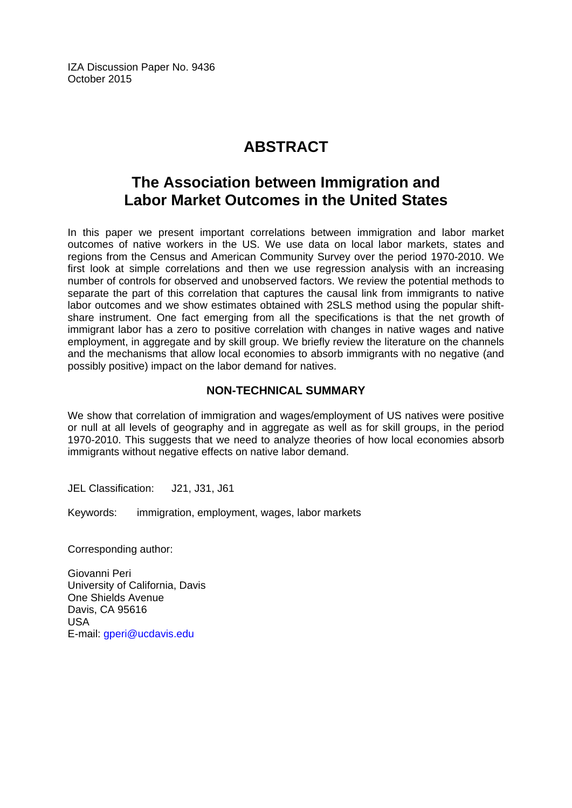IZA Discussion Paper No. 9436 October 2015

# **ABSTRACT**

# **The Association between Immigration and Labor Market Outcomes in the United States**

In this paper we present important correlations between immigration and labor market outcomes of native workers in the US. We use data on local labor markets, states and regions from the Census and American Community Survey over the period 1970-2010. We first look at simple correlations and then we use regression analysis with an increasing number of controls for observed and unobserved factors. We review the potential methods to separate the part of this correlation that captures the causal link from immigrants to native labor outcomes and we show estimates obtained with 2SLS method using the popular shiftshare instrument. One fact emerging from all the specifications is that the net growth of immigrant labor has a zero to positive correlation with changes in native wages and native employment, in aggregate and by skill group. We briefly review the literature on the channels and the mechanisms that allow local economies to absorb immigrants with no negative (and possibly positive) impact on the labor demand for natives.

#### **NON-TECHNICAL SUMMARY**

We show that correlation of immigration and wages/employment of US natives were positive or null at all levels of geography and in aggregate as well as for skill groups, in the period 1970-2010. This suggests that we need to analyze theories of how local economies absorb immigrants without negative effects on native labor demand.

JEL Classification: J21, J31, J61

Keywords: immigration, employment, wages, labor markets

Corresponding author:

Giovanni Peri University of California, Davis One Shields Avenue Davis, CA 95616 USA E-mail: gperi@ucdavis.edu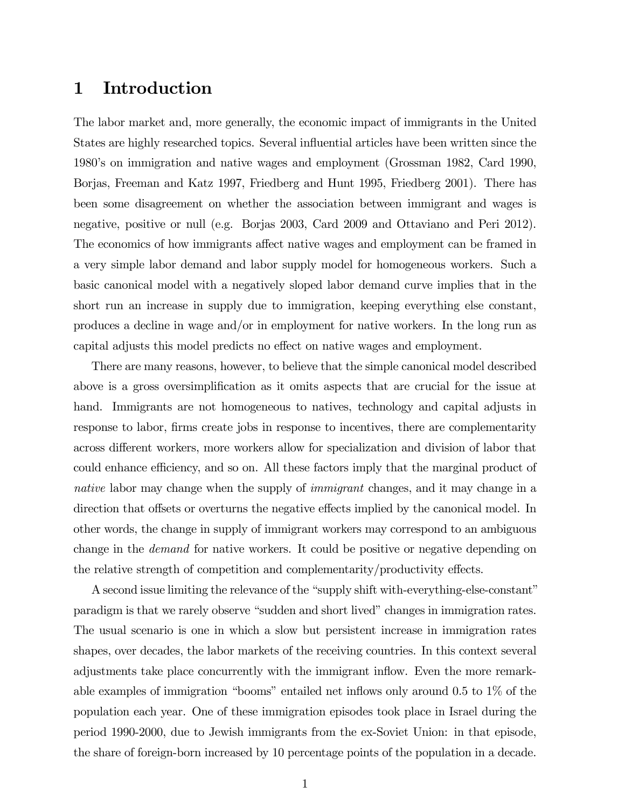### 1 Introduction

The labor market and, more generally, the economic impact of immigrants in the United States are highly researched topics. Several influential articles have been written since the 1980's on immigration and native wages and employment (Grossman 1982, Card 1990, Borjas, Freeman and Katz 1997, Friedberg and Hunt 1995, Friedberg 2001). There has been some disagreement on whether the association between immigrant and wages is negative, positive or null (e.g. Borjas 2003, Card 2009 and Ottaviano and Peri 2012). The economics of how immigrants affect native wages and employment can be framed in a very simple labor demand and labor supply model for homogeneous workers. Such a basic canonical model with a negatively sloped labor demand curve implies that in the short run an increase in supply due to immigration, keeping everything else constant, produces a decline in wage and/or in employment for native workers. In the long run as capital adjusts this model predicts no effect on native wages and employment.

There are many reasons, however, to believe that the simple canonical model described above is a gross oversimplification as it omits aspects that are crucial for the issue at hand. Immigrants are not homogeneous to natives, technology and capital adjusts in response to labor, firms create jobs in response to incentives, there are complementarity across different workers, more workers allow for specialization and division of labor that could enhance efficiency, and so on. All these factors imply that the marginal product of native labor may change when the supply of *immigrant* changes, and it may change in a direction that offsets or overturns the negative effects implied by the canonical model. In other words, the change in supply of immigrant workers may correspond to an ambiguous change in the *demand* for native workers. It could be positive or negative depending on the relative strength of competition and complementarity/productivity effects.

A second issue limiting the relevance of the "supply shift with-everything-else-constant" paradigm is that we rarely observe "sudden and short lived" changes in immigration rates. The usual scenario is one in which a slow but persistent increase in immigration rates shapes, over decades, the labor markets of the receiving countries. In this context several adjustments take place concurrently with the immigrant inflow. Even the more remarkable examples of immigration "booms" entailed net inflows only around 0.5 to 1% of the population each year. One of these immigration episodes took place in Israel during the period 1990-2000, due to Jewish immigrants from the ex-Soviet Union: in that episode, the share of foreign-born increased by 10 percentage points of the population in a decade.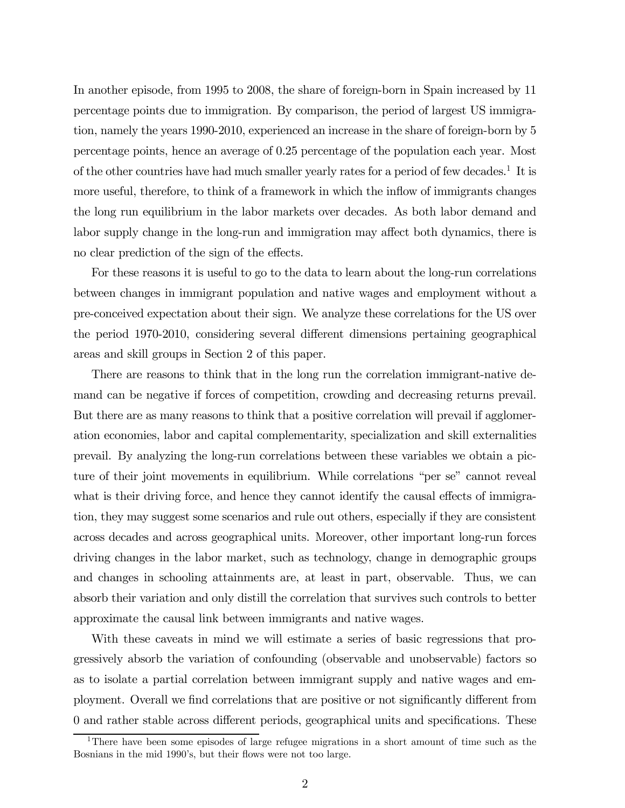In another episode, from 1995 to 2008, the share of foreign-born in Spain increased by 11 percentage points due to immigration. By comparison, the period of largest US immigration, namely the years 1990-2010, experienced an increase in the share of foreign-born by 5 percentage points, hence an average of 0.25 percentage of the population each year. Most of the other countries have had much smaller yearly rates for a period of few decades.<sup>1</sup> It is more useful, therefore, to think of a framework in which the inflow of immigrants changes the long run equilibrium in the labor markets over decades. As both labor demand and labor supply change in the long-run and immigration may affect both dynamics, there is no clear prediction of the sign of the effects.

For these reasons it is useful to go to the data to learn about the long-run correlations between changes in immigrant population and native wages and employment without a pre-conceived expectation about their sign. We analyze these correlations for the US over the period 1970-2010, considering several different dimensions pertaining geographical areas and skill groups in Section 2 of this paper.

There are reasons to think that in the long run the correlation immigrant-native demand can be negative if forces of competition, crowding and decreasing returns prevail. But there are as many reasons to think that a positive correlation will prevail if agglomeration economies, labor and capital complementarity, specialization and skill externalities prevail. By analyzing the long-run correlations between these variables we obtain a picture of their joint movements in equilibrium. While correlations "per se" cannot reveal what is their driving force, and hence they cannot identify the causal effects of immigration, they may suggest some scenarios and rule out others, especially if they are consistent across decades and across geographical units. Moreover, other important long-run forces driving changes in the labor market, such as technology, change in demographic groups and changes in schooling attainments are, at least in part, observable. Thus, we can absorb their variation and only distill the correlation that survives such controls to better approximate the causal link between immigrants and native wages.

With these caveats in mind we will estimate a series of basic regressions that progressively absorb the variation of confounding (observable and unobservable) factors so as to isolate a partial correlation between immigrant supply and native wages and employment. Overall we find correlations that are positive or not significantly different from 0 and rather stable across different periods, geographical units and specifications. These

<sup>&</sup>lt;sup>1</sup>There have been some episodes of large refugee migrations in a short amount of time such as the Bosnians in the mid 1990's, but their flows were not too large.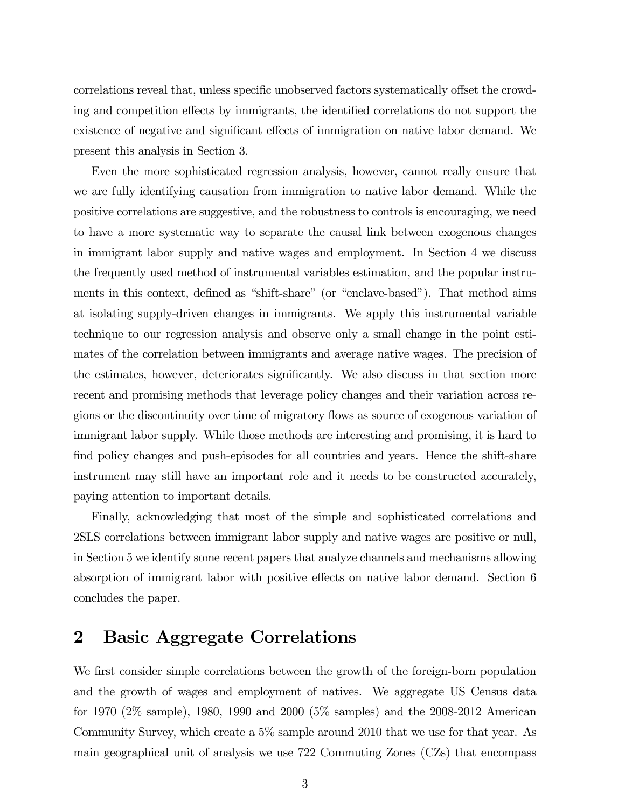correlations reveal that, unless specific unobserved factors systematically offset the crowding and competition effects by immigrants, the identified correlations do not support the existence of negative and significant effects of immigration on native labor demand. We present this analysis in Section 3.

Even the more sophisticated regression analysis, however, cannot really ensure that we are fully identifying causation from immigration to native labor demand. While the positive correlations are suggestive, and the robustness to controls is encouraging, we need to have a more systematic way to separate the causal link between exogenous changes in immigrant labor supply and native wages and employment. In Section 4 we discuss the frequently used method of instrumental variables estimation, and the popular instruments in this context, defined as "shift-share" (or "enclave-based"). That method aims at isolating supply-driven changes in immigrants. We apply this instrumental variable technique to our regression analysis and observe only a small change in the point estimates of the correlation between immigrants and average native wages. The precision of the estimates, however, deteriorates significantly. We also discuss in that section more recent and promising methods that leverage policy changes and their variation across regions or the discontinuity over time of migratory flows as source of exogenous variation of immigrant labor supply. While those methods are interesting and promising, it is hard to find policy changes and push-episodes for all countries and years. Hence the shift-share instrument may still have an important role and it needs to be constructed accurately, paying attention to important details.

Finally, acknowledging that most of the simple and sophisticated correlations and 2SLS correlations between immigrant labor supply and native wages are positive or null, in Section 5 we identify some recent papers that analyze channels and mechanisms allowing absorption of immigrant labor with positive effects on native labor demand. Section 6 concludes the paper.

## 2 Basic Aggregate Correlations

We first consider simple correlations between the growth of the foreign-born population and the growth of wages and employment of natives. We aggregate US Census data for 1970 (2% sample), 1980, 1990 and 2000 (5% samples) and the 2008-2012 American Community Survey, which create a 5% sample around 2010 that we use for that year. As main geographical unit of analysis we use 722 Commuting Zones (CZs) that encompass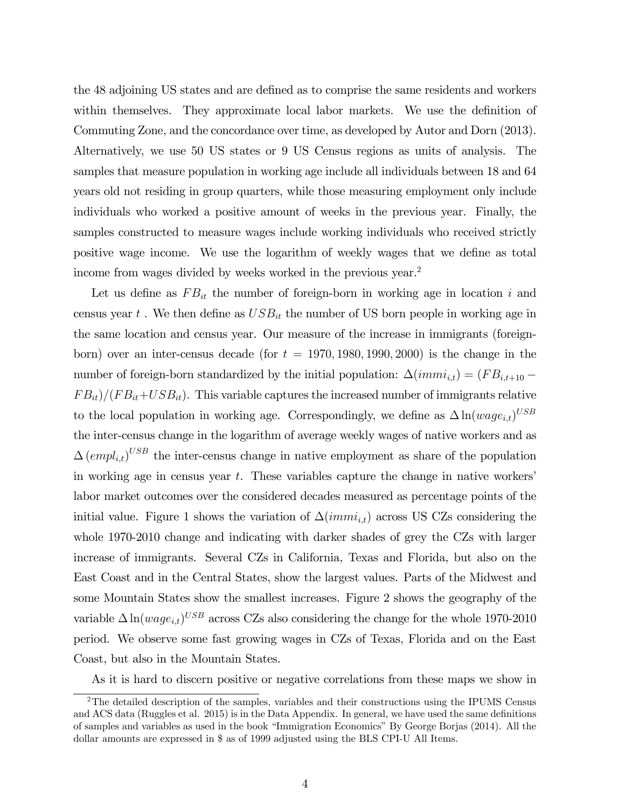the 48 adjoining US states and are defined as to comprise the same residents and workers within themselves. They approximate local labor markets. We use the definition of Commuting Zone, and the concordance over time, as developed by Autor and Dorn (2013). Alternatively, we use 50 US states or 9 US Census regions as units of analysis. The samples that measure population in working age include all individuals between 18 and 64 years old not residing in group quarters, while those measuring employment only include individuals who worked a positive amount of weeks in the previous year. Finally, the samples constructed to measure wages include working individuals who received strictly positive wage income. We use the logarithm of weekly wages that we define as total income from wages divided by weeks worked in the previous year.<sup>2</sup>

Let us define as  $FB_{it}$  the number of foreign-born in working age in location i and census year  $t$ . We then define as  $USB_{it}$  the number of US born people in working age in the same location and census year. Our measure of the increase in immigrants (foreignborn) over an inter-census decade (for  $t = 1970, 1980, 1990, 2000$ ) is the change in the number of foreign-born standardized by the initial population:  $\Delta(immi_{i,t})=(FB_{i,t+10} FB_{it}/(FB_{it}+USB_{it}).$  This variable captures the increased number of immigrants relative to the local population in working age. Correspondingly, we define as  $\Delta \ln(wage_{it})^{USB}$ the inter-census change in the logarithm of average weekly wages of native workers and as  $\Delta \left( \text{empl}_{i,t} \right)^{USB}$  the inter-census change in native employment as share of the population in working age in census year  $t$ . These variables capture the change in native workers' labor market outcomes over the considered decades measured as percentage points of the initial value. Figure 1 shows the variation of  $\Delta(immi_{i,t})$  across US CZs considering the whole 1970-2010 change and indicating with darker shades of grey the CZs with larger increase of immigrants. Several CZs in California, Texas and Florida, but also on the East Coast and in the Central States, show the largest values. Parts of the Midwest and some Mountain States show the smallest increases. Figure 2 shows the geography of the variable  $\Delta \ln(wage_{i,t})^{USB}$  across CZs also considering the change for the whole 1970-2010 period. We observe some fast growing wages in CZs of Texas, Florida and on the East Coast, but also in the Mountain States.

As it is hard to discern positive or negative correlations from these maps we show in

<sup>&</sup>lt;sup>2</sup>The detailed description of the samples, variables and their constructions using the IPUMS Census and ACS data (Ruggles et al. 2015) is in the Data Appendix. In general, we have used the same definitions of samples and variables as used in the book "Immigration Economics" By George Borjas (2014). All the dollar amounts are expressed in \$ as of 1999 adjusted using the BLS CPI-U All Items.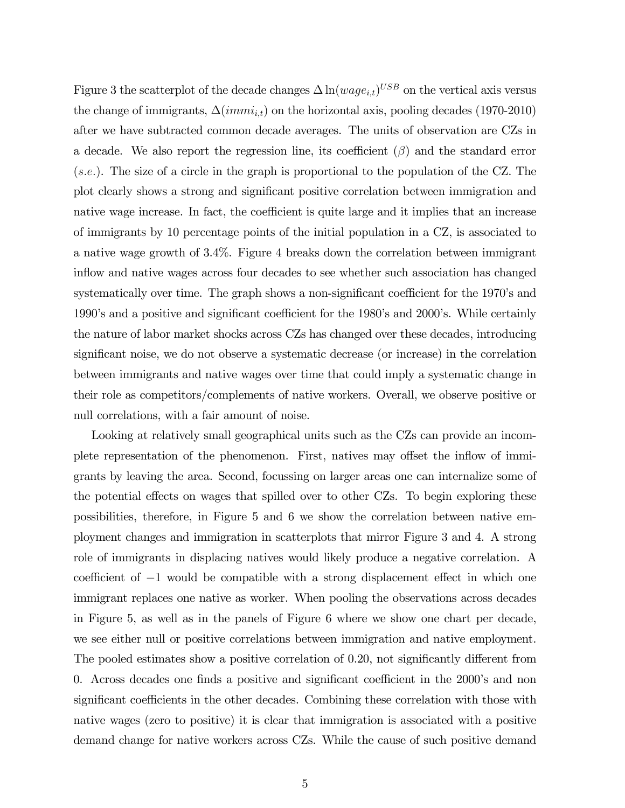Figure 3 the scatterplot of the decade changes  $\Delta \ln(wage_{i,t})^{USB}$  on the vertical axis versus the change of immigrants,  $\Delta(immi_{i,t})$  on the horizontal axis, pooling decades (1970-2010) after we have subtracted common decade averages. The units of observation are CZs in a decade. We also report the regression line, its coefficient  $(\beta)$  and the standard error  $(s.e.).$  The size of a circle in the graph is proportional to the population of the CZ. The plot clearly shows a strong and significant positive correlation between immigration and native wage increase. In fact, the coefficient is quite large and it implies that an increase of immigrants by 10 percentage points of the initial population in a CZ, is associated to a native wage growth of 3.4%. Figure 4 breaks down the correlation between immigrant inflow and native wages across four decades to see whether such association has changed systematically over time. The graph shows a non-significant coefficient for the 1970's and 1990's and a positive and significant coefficient for the 1980's and 2000's. While certainly the nature of labor market shocks across CZs has changed over these decades, introducing significant noise, we do not observe a systematic decrease (or increase) in the correlation between immigrants and native wages over time that could imply a systematic change in their role as competitors/complements of native workers. Overall, we observe positive or null correlations, with a fair amount of noise.

Looking at relatively small geographical units such as the CZs can provide an incomplete representation of the phenomenon. First, natives may offset the inflow of immigrants by leaving the area. Second, focussing on larger areas one can internalize some of the potential effects on wages that spilled over to other CZs. To begin exploring these possibilities, therefore, in Figure 5 and 6 we show the correlation between native employment changes and immigration in scatterplots that mirror Figure 3 and 4. A strong role of immigrants in displacing natives would likely produce a negative correlation. A coefficient of −1 would be compatible with a strong displacement effect in which one immigrant replaces one native as worker. When pooling the observations across decades in Figure 5, as well as in the panels of Figure 6 where we show one chart per decade, we see either null or positive correlations between immigration and native employment. The pooled estimates show a positive correlation of 0.20, not significantly different from 0. Across decades one finds a positive and significant coefficient in the 2000's and non significant coefficients in the other decades. Combining these correlation with those with native wages (zero to positive) it is clear that immigration is associated with a positive demand change for native workers across CZs. While the cause of such positive demand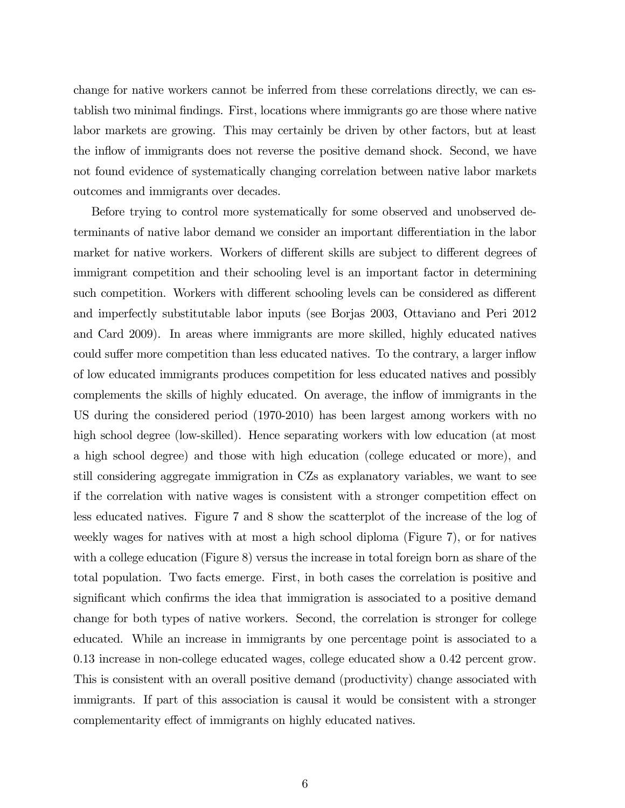change for native workers cannot be inferred from these correlations directly, we can establish two minimal findings. First, locations where immigrants go are those where native labor markets are growing. This may certainly be driven by other factors, but at least the inflow of immigrants does not reverse the positive demand shock. Second, we have not found evidence of systematically changing correlation between native labor markets outcomes and immigrants over decades.

Before trying to control more systematically for some observed and unobserved determinants of native labor demand we consider an important differentiation in the labor market for native workers. Workers of different skills are subject to different degrees of immigrant competition and their schooling level is an important factor in determining such competition. Workers with different schooling levels can be considered as different and imperfectly substitutable labor inputs (see Borjas 2003, Ottaviano and Peri 2012 and Card 2009). In areas where immigrants are more skilled, highly educated natives could suffer more competition than less educated natives. To the contrary, a larger inflow of low educated immigrants produces competition for less educated natives and possibly complements the skills of highly educated. On average, the inflow of immigrants in the US during the considered period (1970-2010) has been largest among workers with no high school degree (low-skilled). Hence separating workers with low education (at most a high school degree) and those with high education (college educated or more), and still considering aggregate immigration in CZs as explanatory variables, we want to see if the correlation with native wages is consistent with a stronger competition effect on less educated natives. Figure 7 and 8 show the scatterplot of the increase of the log of weekly wages for natives with at most a high school diploma (Figure 7), or for natives with a college education (Figure 8) versus the increase in total foreign born as share of the total population. Two facts emerge. First, in both cases the correlation is positive and significant which confirms the idea that immigration is associated to a positive demand change for both types of native workers. Second, the correlation is stronger for college educated. While an increase in immigrants by one percentage point is associated to a 0.13 increase in non-college educated wages, college educated show a 0.42 percent grow. This is consistent with an overall positive demand (productivity) change associated with immigrants. If part of this association is causal it would be consistent with a stronger complementarity effect of immigrants on highly educated natives.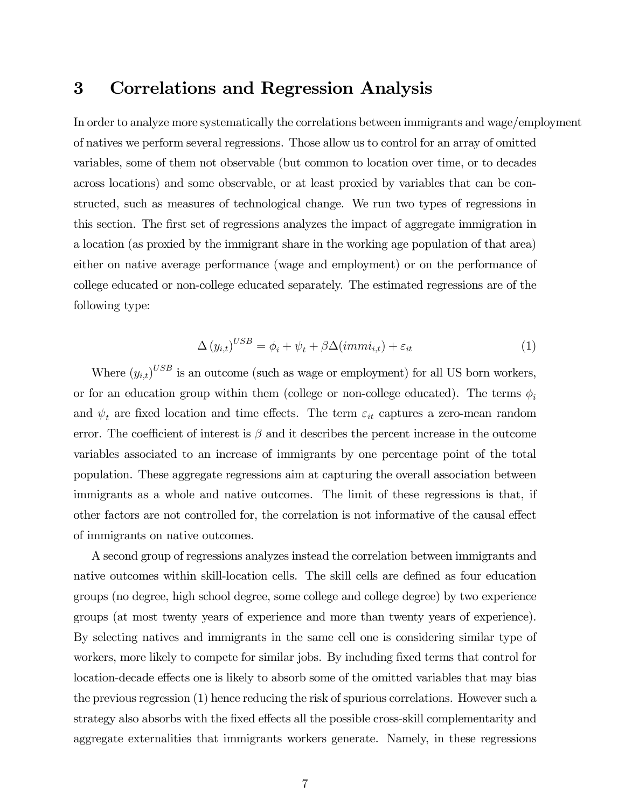### 3 Correlations and Regression Analysis

In order to analyze more systematically the correlations between immigrants and wage/employment of natives we perform several regressions. Those allow us to control for an array of omitted variables, some of them not observable (but common to location over time, or to decades across locations) and some observable, or at least proxied by variables that can be constructed, such as measures of technological change. We run two types of regressions in this section. The first set of regressions analyzes the impact of aggregate immigration in a location (as proxied by the immigrant share in the working age population of that area) either on native average performance (wage and employment) or on the performance of college educated or non-college educated separately. The estimated regressions are of the following type:

$$
\Delta (y_{i,t})^{USB} = \phi_i + \psi_t + \beta \Delta (imm i_{i,t}) + \varepsilon_{it} \tag{1}
$$

Where  $(y_{i,t})^{USB}$  is an outcome (such as wage or employment) for all US born workers, or for an education group within them (college or non-college educated). The terms  $\phi_i$ and  $\psi_t$  are fixed location and time effects. The term  $\varepsilon_{it}$  captures a zero-mean random error. The coefficient of interest is  $\beta$  and it describes the percent increase in the outcome variables associated to an increase of immigrants by one percentage point of the total population. These aggregate regressions aim at capturing the overall association between immigrants as a whole and native outcomes. The limit of these regressions is that, if other factors are not controlled for, the correlation is not informative of the causal effect of immigrants on native outcomes.

A second group of regressions analyzes instead the correlation between immigrants and native outcomes within skill-location cells. The skill cells are defined as four education groups (no degree, high school degree, some college and college degree) by two experience groups (at most twenty years of experience and more than twenty years of experience). By selecting natives and immigrants in the same cell one is considering similar type of workers, more likely to compete for similar jobs. By including fixed terms that control for location-decade effects one is likely to absorb some of the omitted variables that may bias the previous regression (1) hence reducing the risk of spurious correlations. However such a strategy also absorbs with the fixed effects all the possible cross-skill complementarity and aggregate externalities that immigrants workers generate. Namely, in these regressions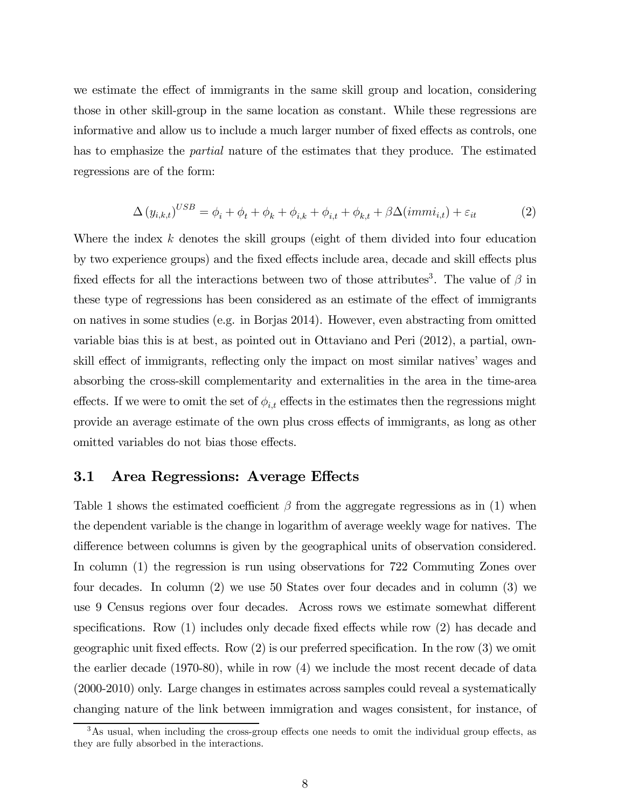we estimate the effect of immigrants in the same skill group and location, considering those in other skill-group in the same location as constant. While these regressions are informative and allow us to include a much larger number of fixed effects as controls, one has to emphasize the partial nature of the estimates that they produce. The estimated regressions are of the form:

$$
\Delta (y_{i,k,t})^{USB} = \phi_i + \phi_t + \phi_k + \phi_{i,k} + \phi_{i,t} + \phi_{k,t} + \beta \Delta (imm i_{i,t}) + \varepsilon_{it}
$$
\n(2)

Where the index  $k$  denotes the skill groups (eight of them divided into four education by two experience groups) and the fixed effects include area, decade and skill effects plus fixed effects for all the interactions between two of those attributes<sup>3</sup>. The value of  $\beta$  in these type of regressions has been considered as an estimate of the effect of immigrants on natives in some studies (e.g. in Borjas 2014). However, even abstracting from omitted variable bias this is at best, as pointed out in Ottaviano and Peri (2012), a partial, ownskill effect of immigrants, reflecting only the impact on most similar natives' wages and absorbing the cross-skill complementarity and externalities in the area in the time-area effects. If we were to omit the set of  $\phi_{i,t}$  effects in the estimates then the regressions might provide an average estimate of the own plus cross effects of immigrants, as long as other omitted variables do not bias those effects.

#### 3.1 Area Regressions: Average Effects

Table 1 shows the estimated coefficient  $\beta$  from the aggregate regressions as in (1) when the dependent variable is the change in logarithm of average weekly wage for natives. The difference between columns is given by the geographical units of observation considered. In column (1) the regression is run using observations for 722 Commuting Zones over four decades. In column (2) we use 50 States over four decades and in column (3) we use 9 Census regions over four decades. Across rows we estimate somewhat different specifications. Row (1) includes only decade fixed effects while row (2) has decade and geographic unit fixed effects. Row (2) is our preferred specification. In the row (3) we omit the earlier decade (1970-80), while in row (4) we include the most recent decade of data (2000-2010) only. Large changes in estimates across samples could reveal a systematically changing nature of the link between immigration and wages consistent, for instance, of

 $3$ As usual, when including the cross-group effects one needs to omit the individual group effects, as they are fully absorbed in the interactions.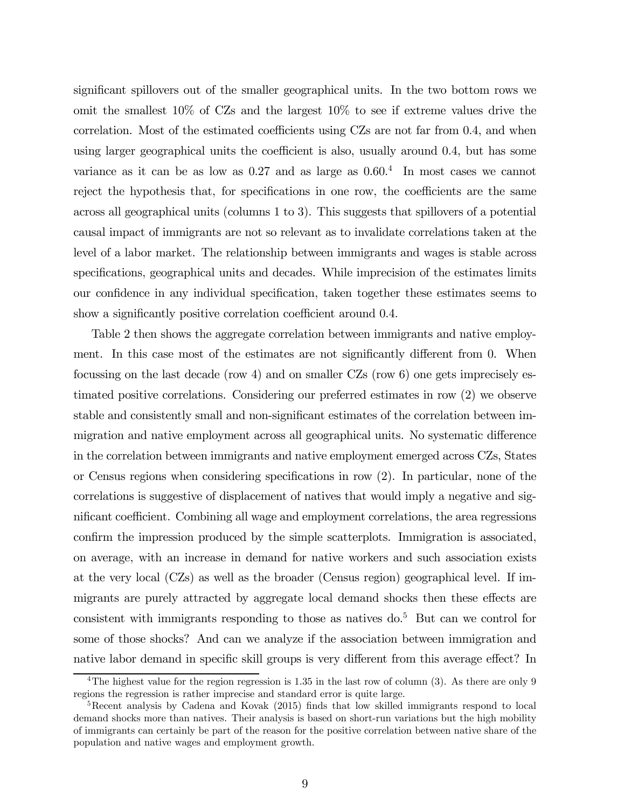significant spillovers out of the smaller geographical units. In the two bottom rows we omit the smallest 10% of CZs and the largest 10% to see if extreme values drive the correlation. Most of the estimated coefficients using CZs are not far from 0.4, and when using larger geographical units the coefficient is also, usually around 0.4, but has some variance as it can be as low as  $0.27$  and as large as  $0.60<sup>4</sup>$  In most cases we cannot reject the hypothesis that, for specifications in one row, the coefficients are the same across all geographical units (columns 1 to 3). This suggests that spillovers of a potential causal impact of immigrants are not so relevant as to invalidate correlations taken at the level of a labor market. The relationship between immigrants and wages is stable across specifications, geographical units and decades. While imprecision of the estimates limits our confidence in any individual specification, taken together these estimates seems to show a significantly positive correlation coefficient around 0.4.

Table 2 then shows the aggregate correlation between immigrants and native employment. In this case most of the estimates are not significantly different from 0. When focussing on the last decade (row 4) and on smaller CZs (row 6) one gets imprecisely estimated positive correlations. Considering our preferred estimates in row (2) we observe stable and consistently small and non-significant estimates of the correlation between immigration and native employment across all geographical units. No systematic difference in the correlation between immigrants and native employment emerged across CZs, States or Census regions when considering specifications in row (2). In particular, none of the correlations is suggestive of displacement of natives that would imply a negative and significant coefficient. Combining all wage and employment correlations, the area regressions confirm the impression produced by the simple scatterplots. Immigration is associated, on average, with an increase in demand for native workers and such association exists at the very local (CZs) as well as the broader (Census region) geographical level. If immigrants are purely attracted by aggregate local demand shocks then these effects are consistent with immigrants responding to those as natives  $d\sigma$ <sup>5</sup> But can we control for some of those shocks? And can we analyze if the association between immigration and native labor demand in specific skill groups is very different from this average effect? In

<sup>&</sup>lt;sup>4</sup>The highest value for the region regression is 1.35 in the last row of column (3). As there are only 9 regions the regression is rather imprecise and standard error is quite large.

<sup>&</sup>lt;sup>5</sup>Recent analysis by Cadena and Kovak (2015) finds that low skilled immigrants respond to local demand shocks more than natives. Their analysis is based on short-run variations but the high mobility of immigrants can certainly be part of the reason for the positive correlation between native share of the population and native wages and employment growth.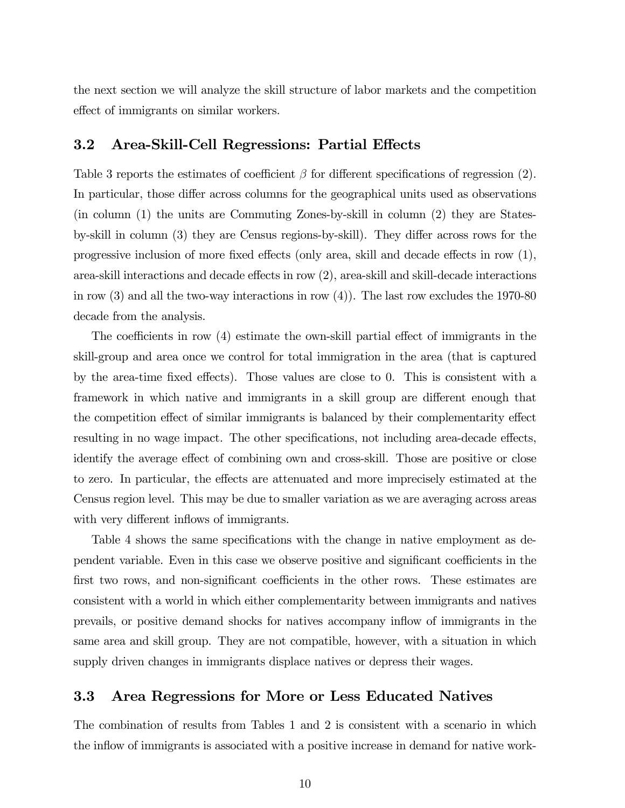the next section we will analyze the skill structure of labor markets and the competition effect of immigrants on similar workers.

#### 3.2 Area-Skill-Cell Regressions: Partial Effects

Table 3 reports the estimates of coefficient  $\beta$  for different specifications of regression (2). In particular, those differ across columns for the geographical units used as observations (in column (1) the units are Commuting Zones-by-skill in column (2) they are Statesby-skill in column (3) they are Census regions-by-skill). They differ across rows for the progressive inclusion of more fixed effects (only area, skill and decade effects in row (1), area-skill interactions and decade effects in row (2), area-skill and skill-decade interactions in row  $(3)$  and all the two-way interactions in row  $(4)$ ). The last row excludes the 1970-80 decade from the analysis.

The coefficients in row (4) estimate the own-skill partial effect of immigrants in the skill-group and area once we control for total immigration in the area (that is captured by the area-time fixed effects). Those values are close to 0. This is consistent with a framework in which native and immigrants in a skill group are different enough that the competition effect of similar immigrants is balanced by their complementarity effect resulting in no wage impact. The other specifications, not including area-decade effects, identify the average effect of combining own and cross-skill. Those are positive or close to zero. In particular, the effects are attenuated and more imprecisely estimated at the Census region level. This may be due to smaller variation as we are averaging across areas with very different inflows of immigrants.

Table 4 shows the same specifications with the change in native employment as dependent variable. Even in this case we observe positive and significant coefficients in the first two rows, and non-significant coefficients in the other rows. These estimates are consistent with a world in which either complementarity between immigrants and natives prevails, or positive demand shocks for natives accompany inflow of immigrants in the same area and skill group. They are not compatible, however, with a situation in which supply driven changes in immigrants displace natives or depress their wages.

#### 3.3 Area Regressions for More or Less Educated Natives

The combination of results from Tables 1 and 2 is consistent with a scenario in which the inflow of immigrants is associated with a positive increase in demand for native work-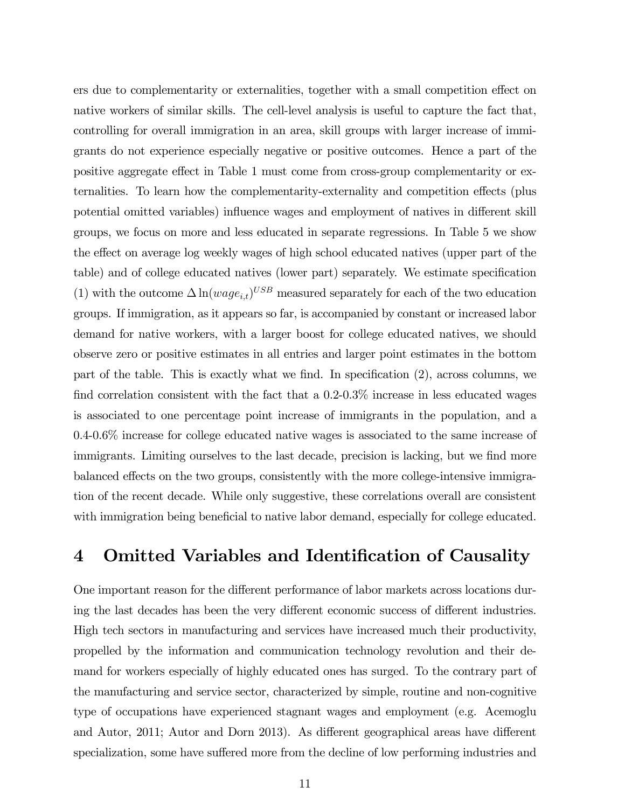ers due to complementarity or externalities, together with a small competition effect on native workers of similar skills. The cell-level analysis is useful to capture the fact that, controlling for overall immigration in an area, skill groups with larger increase of immigrants do not experience especially negative or positive outcomes. Hence a part of the positive aggregate effect in Table 1 must come from cross-group complementarity or externalities. To learn how the complementarity-externality and competition effects (plus potential omitted variables) influence wages and employment of natives in different skill groups, we focus on more and less educated in separate regressions. In Table 5 we show the effect on average log weekly wages of high school educated natives (upper part of the table) and of college educated natives (lower part) separately. We estimate specification (1) with the outcome  $\Delta \ln(wage_{i,t})^{USB}$  measured separately for each of the two education groups. If immigration, as it appears so far, is accompanied by constant or increased labor demand for native workers, with a larger boost for college educated natives, we should observe zero or positive estimates in all entries and larger point estimates in the bottom part of the table. This is exactly what we find. In specification (2), across columns, we find correlation consistent with the fact that a 0.2-0.3% increase in less educated wages is associated to one percentage point increase of immigrants in the population, and a 0.4-0.6% increase for college educated native wages is associated to the same increase of immigrants. Limiting ourselves to the last decade, precision is lacking, but we find more balanced effects on the two groups, consistently with the more college-intensive immigration of the recent decade. While only suggestive, these correlations overall are consistent with immigration being beneficial to native labor demand, especially for college educated.

### 4 Omitted Variables and Identification of Causality

One important reason for the different performance of labor markets across locations during the last decades has been the very different economic success of different industries. High tech sectors in manufacturing and services have increased much their productivity, propelled by the information and communication technology revolution and their demand for workers especially of highly educated ones has surged. To the contrary part of the manufacturing and service sector, characterized by simple, routine and non-cognitive type of occupations have experienced stagnant wages and employment (e.g. Acemoglu and Autor, 2011; Autor and Dorn 2013). As different geographical areas have different specialization, some have suffered more from the decline of low performing industries and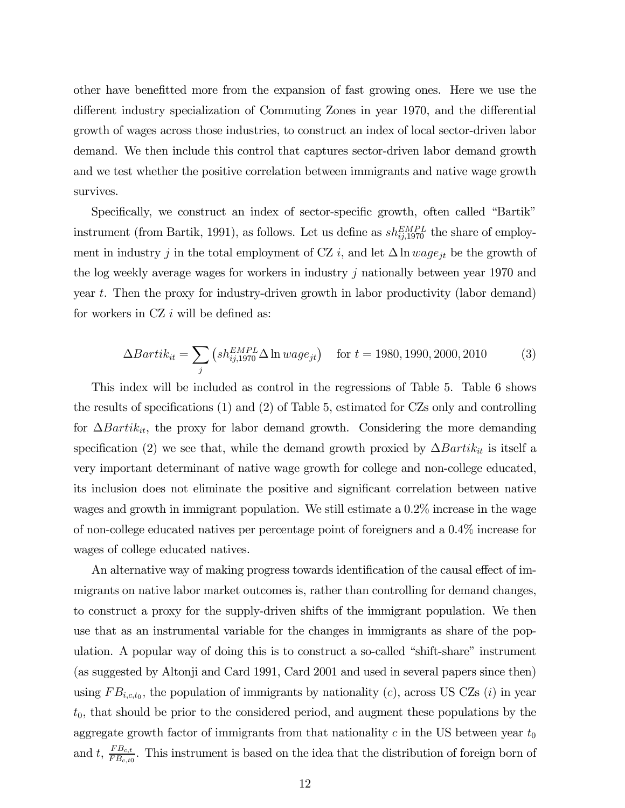other have benefitted more from the expansion of fast growing ones. Here we use the different industry specialization of Commuting Zones in year 1970, and the differential growth of wages across those industries, to construct an index of local sector-driven labor demand. We then include this control that captures sector-driven labor demand growth and we test whether the positive correlation between immigrants and native wage growth survives.

Specifically, we construct an index of sector-specific growth, often called "Bartik" instrument (from Bartik, 1991), as follows. Let us define as  $sh_{ij,1970}^{EMPL}$  the share of employment in industry *j* in the total employment of CZ *i*, and let  $\Delta \ln wage_{jt}$  be the growth of the log weekly average wages for workers in industry  $j$  nationally between year 1970 and year  $t$ . Then the proxy for industry-driven growth in labor productivity (labor demand) for workers in  $CZ$  *i* will be defined as:

$$
\Delta Bartik_{it} = \sum_{j} \left( sh_{ij,1970}^{EMPL} \Delta \ln wage_{jt} \right) \quad \text{for } t = 1980, 1990, 2000, 2010 \tag{3}
$$

This index will be included as control in the regressions of Table 5. Table 6 shows the results of specifications (1) and (2) of Table 5, estimated for CZs only and controlling for  $\Delta Bartik_{it}$ , the proxy for labor demand growth. Considering the more demanding specification (2) we see that, while the demand growth proxied by  $\Delta Bartik_{it}$  is itself a very important determinant of native wage growth for college and non-college educated, its inclusion does not eliminate the positive and significant correlation between native wages and growth in immigrant population. We still estimate a 0.2% increase in the wage of non-college educated natives per percentage point of foreigners and a 0.4% increase for wages of college educated natives.

An alternative way of making progress towards identification of the causal effect of immigrants on native labor market outcomes is, rather than controlling for demand changes, to construct a proxy for the supply-driven shifts of the immigrant population. We then use that as an instrumental variable for the changes in immigrants as share of the population. A popular way of doing this is to construct a so-called "shift-share" instrument (as suggested by Altonji and Card 1991, Card 2001 and used in several papers since then) using  $FB_{i,c,t_0}$ , the population of immigrants by nationality (c), across US CZs (i) in year  $t_0$ , that should be prior to the considered period, and augment these populations by the aggregate growth factor of immigrants from that nationality  $c$  in the US between year  $t_0$ and t,  $\frac{FB_{c,t}}{FB_{c,t0}}$ . This instrument is based on the idea that the distribution of foreign born of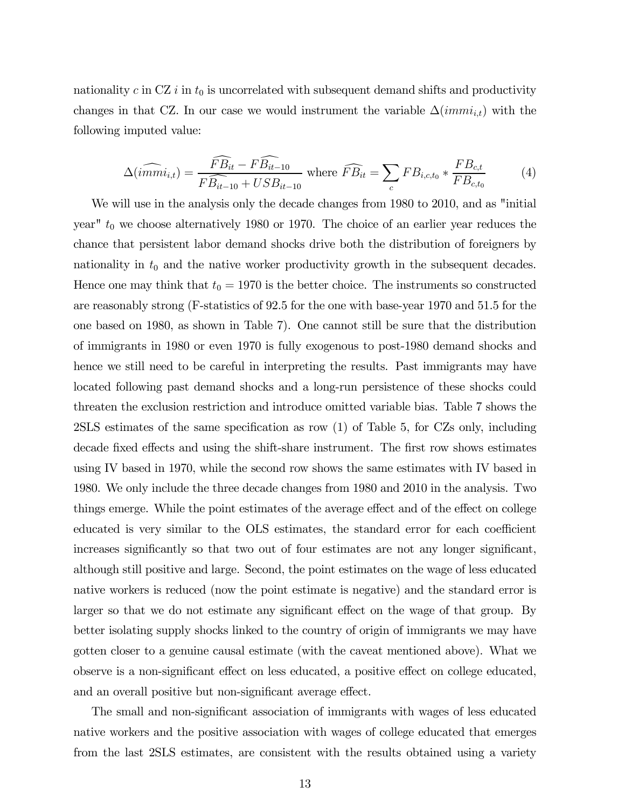nationality  $c$  in CZ  $i$  in  $t_0$  is uncorrelated with subsequent demand shifts and productivity changes in that CZ. In our case we would instrument the variable  $\Delta(immi_{i,t})$  with the following imputed value:

$$
\Delta(i\widehat{mmi}_{i,t}) = \frac{\widehat{FB}_{it} - F\widehat{B_{it-10}}}{F\widehat{B_{it-10}} + USB_{it-10}} \text{ where } \widehat{FB}_{it} = \sum_{c} FB_{i,c,t_0} * \frac{FB_{c,t}}{FB_{c,t_0}} \tag{4}
$$

We will use in the analysis only the decade changes from 1980 to 2010, and as "initial year"  $t_0$  we choose alternatively 1980 or 1970. The choice of an earlier year reduces the chance that persistent labor demand shocks drive both the distribution of foreigners by nationality in  $t_0$  and the native worker productivity growth in the subsequent decades. Hence one may think that  $t_0 = 1970$  is the better choice. The instruments so constructed are reasonably strong (F-statistics of 92.5 for the one with base-year 1970 and 51.5 for the one based on 1980, as shown in Table 7). One cannot still be sure that the distribution of immigrants in 1980 or even 1970 is fully exogenous to post-1980 demand shocks and hence we still need to be careful in interpreting the results. Past immigrants may have located following past demand shocks and a long-run persistence of these shocks could threaten the exclusion restriction and introduce omitted variable bias. Table 7 shows the 2SLS estimates of the same specification as row (1) of Table 5, for CZs only, including decade fixed effects and using the shift-share instrument. The first row shows estimates using IV based in 1970, while the second row shows the same estimates with IV based in 1980. We only include the three decade changes from 1980 and 2010 in the analysis. Two things emerge. While the point estimates of the average effect and of the effect on college educated is very similar to the OLS estimates, the standard error for each coefficient increases significantly so that two out of four estimates are not any longer significant, although still positive and large. Second, the point estimates on the wage of less educated native workers is reduced (now the point estimate is negative) and the standard error is larger so that we do not estimate any significant effect on the wage of that group. By better isolating supply shocks linked to the country of origin of immigrants we may have gotten closer to a genuine causal estimate (with the caveat mentioned above). What we observe is a non-significant effect on less educated, a positive effect on college educated, and an overall positive but non-significant average effect.

The small and non-significant association of immigrants with wages of less educated native workers and the positive association with wages of college educated that emerges from the last 2SLS estimates, are consistent with the results obtained using a variety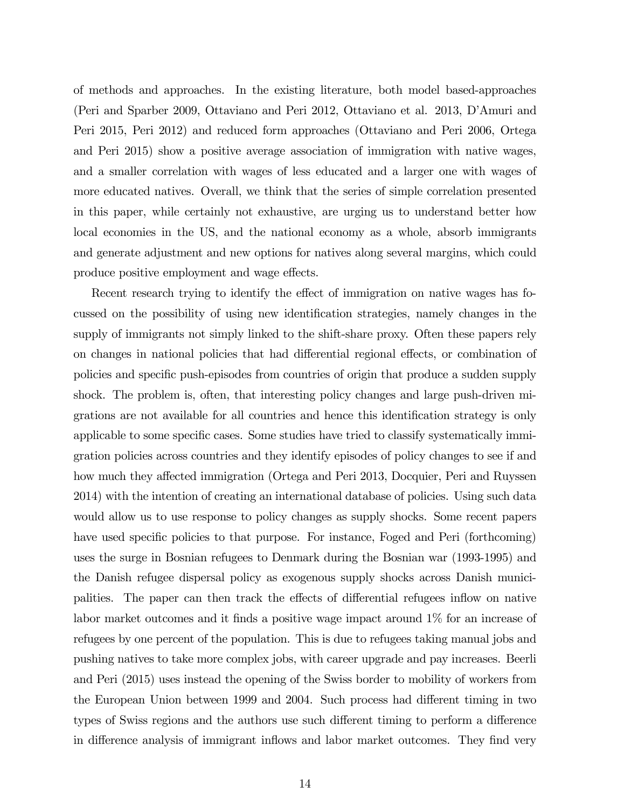of methods and approaches. In the existing literature, both model based-approaches (Peri and Sparber 2009, Ottaviano and Peri 2012, Ottaviano et al. 2013, D'Amuri and Peri 2015, Peri 2012) and reduced form approaches (Ottaviano and Peri 2006, Ortega and Peri 2015) show a positive average association of immigration with native wages, and a smaller correlation with wages of less educated and a larger one with wages of more educated natives. Overall, we think that the series of simple correlation presented in this paper, while certainly not exhaustive, are urging us to understand better how local economies in the US, and the national economy as a whole, absorb immigrants and generate adjustment and new options for natives along several margins, which could produce positive employment and wage effects.

Recent research trying to identify the effect of immigration on native wages has focussed on the possibility of using new identification strategies, namely changes in the supply of immigrants not simply linked to the shift-share proxy. Often these papers rely on changes in national policies that had differential regional effects, or combination of policies and specific push-episodes from countries of origin that produce a sudden supply shock. The problem is, often, that interesting policy changes and large push-driven migrations are not available for all countries and hence this identification strategy is only applicable to some specific cases. Some studies have tried to classify systematically immigration policies across countries and they identify episodes of policy changes to see if and how much they affected immigration (Ortega and Peri 2013, Docquier, Peri and Ruyssen 2014) with the intention of creating an international database of policies. Using such data would allow us to use response to policy changes as supply shocks. Some recent papers have used specific policies to that purpose. For instance, Foged and Peri (forthcoming) uses the surge in Bosnian refugees to Denmark during the Bosnian war (1993-1995) and the Danish refugee dispersal policy as exogenous supply shocks across Danish municipalities. The paper can then track the effects of differential refugees inflow on native labor market outcomes and it finds a positive wage impact around 1% for an increase of refugees by one percent of the population. This is due to refugees taking manual jobs and pushing natives to take more complex jobs, with career upgrade and pay increases. Beerli and Peri (2015) uses instead the opening of the Swiss border to mobility of workers from the European Union between 1999 and 2004. Such process had different timing in two types of Swiss regions and the authors use such different timing to perform a difference in difference analysis of immigrant inflows and labor market outcomes. They find very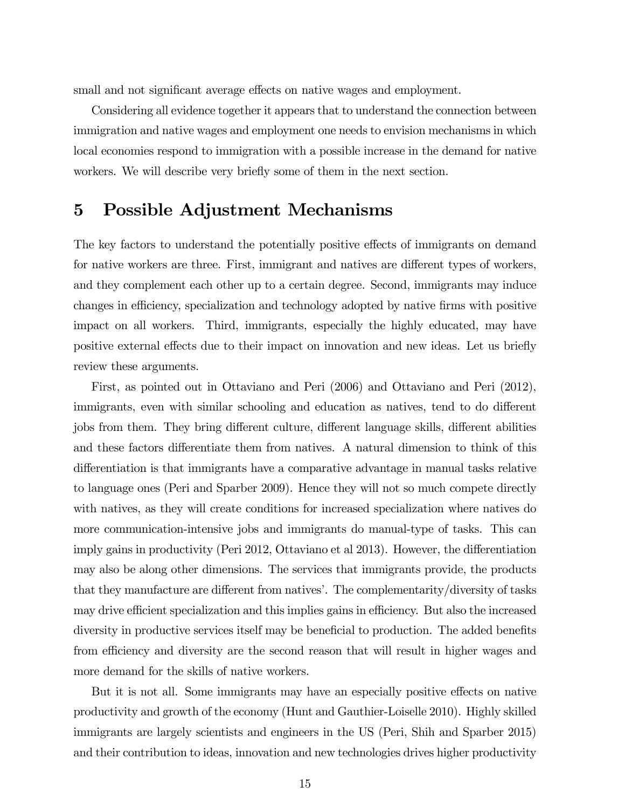small and not significant average effects on native wages and employment.

Considering all evidence together it appears that to understand the connection between immigration and native wages and employment one needs to envision mechanisms in which local economies respond to immigration with a possible increase in the demand for native workers. We will describe very briefly some of them in the next section.

### 5 Possible Adjustment Mechanisms

The key factors to understand the potentially positive effects of immigrants on demand for native workers are three. First, immigrant and natives are different types of workers, and they complement each other up to a certain degree. Second, immigrants may induce changes in efficiency, specialization and technology adopted by native firms with positive impact on all workers. Third, immigrants, especially the highly educated, may have positive external effects due to their impact on innovation and new ideas. Let us briefly review these arguments.

First, as pointed out in Ottaviano and Peri (2006) and Ottaviano and Peri (2012), immigrants, even with similar schooling and education as natives, tend to do different jobs from them. They bring different culture, different language skills, different abilities and these factors differentiate them from natives. A natural dimension to think of this differentiation is that immigrants have a comparative advantage in manual tasks relative to language ones (Peri and Sparber 2009). Hence they will not so much compete directly with natives, as they will create conditions for increased specialization where natives do more communication-intensive jobs and immigrants do manual-type of tasks. This can imply gains in productivity (Peri 2012, Ottaviano et al 2013). However, the differentiation may also be along other dimensions. The services that immigrants provide, the products that they manufacture are different from natives'. The complementarity/diversity of tasks may drive efficient specialization and this implies gains in efficiency. But also the increased diversity in productive services itself may be beneficial to production. The added benefits from efficiency and diversity are the second reason that will result in higher wages and more demand for the skills of native workers.

But it is not all. Some immigrants may have an especially positive effects on native productivity and growth of the economy (Hunt and Gauthier-Loiselle 2010). Highly skilled immigrants are largely scientists and engineers in the US (Peri, Shih and Sparber 2015) and their contribution to ideas, innovation and new technologies drives higher productivity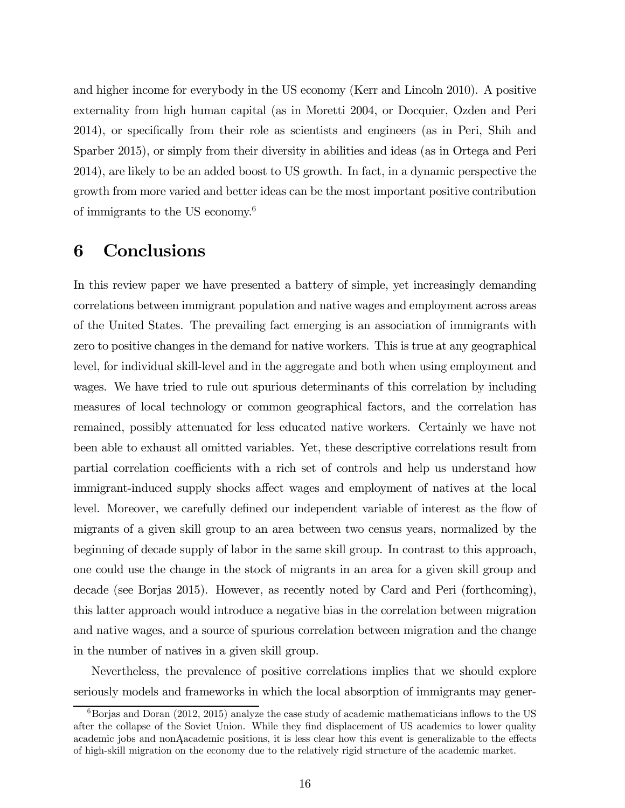and higher income for everybody in the US economy (Kerr and Lincoln 2010). A positive externality from high human capital (as in Moretti 2004, or Docquier, Ozden and Peri 2014), or specifically from their role as scientists and engineers (as in Peri, Shih and Sparber 2015), or simply from their diversity in abilities and ideas (as in Ortega and Peri 2014), are likely to be an added boost to US growth. In fact, in a dynamic perspective the growth from more varied and better ideas can be the most important positive contribution of immigrants to the US economy.6

### 6 Conclusions

In this review paper we have presented a battery of simple, yet increasingly demanding correlations between immigrant population and native wages and employment across areas of the United States. The prevailing fact emerging is an association of immigrants with zero to positive changes in the demand for native workers. This is true at any geographical level, for individual skill-level and in the aggregate and both when using employment and wages. We have tried to rule out spurious determinants of this correlation by including measures of local technology or common geographical factors, and the correlation has remained, possibly attenuated for less educated native workers. Certainly we have not been able to exhaust all omitted variables. Yet, these descriptive correlations result from partial correlation coefficients with a rich set of controls and help us understand how immigrant-induced supply shocks affect wages and employment of natives at the local level. Moreover, we carefully defined our independent variable of interest as the flow of migrants of a given skill group to an area between two census years, normalized by the beginning of decade supply of labor in the same skill group. In contrast to this approach, one could use the change in the stock of migrants in an area for a given skill group and decade (see Borjas 2015). However, as recently noted by Card and Peri (forthcoming), this latter approach would introduce a negative bias in the correlation between migration and native wages, and a source of spurious correlation between migration and the change in the number of natives in a given skill group.

Nevertheless, the prevalence of positive correlations implies that we should explore seriously models and frameworks in which the local absorption of immigrants may gener-

 $6B\sigma$  and Doran (2012, 2015) analyze the case study of academic mathematicians inflows to the US after the collapse of the Soviet Union. While they find displacement of US academics to lower quality academic jobs and nonAacademic positions, it is less clear how this event is generalizable to the effects of high-skill migration on the economy due to the relatively rigid structure of the academic market.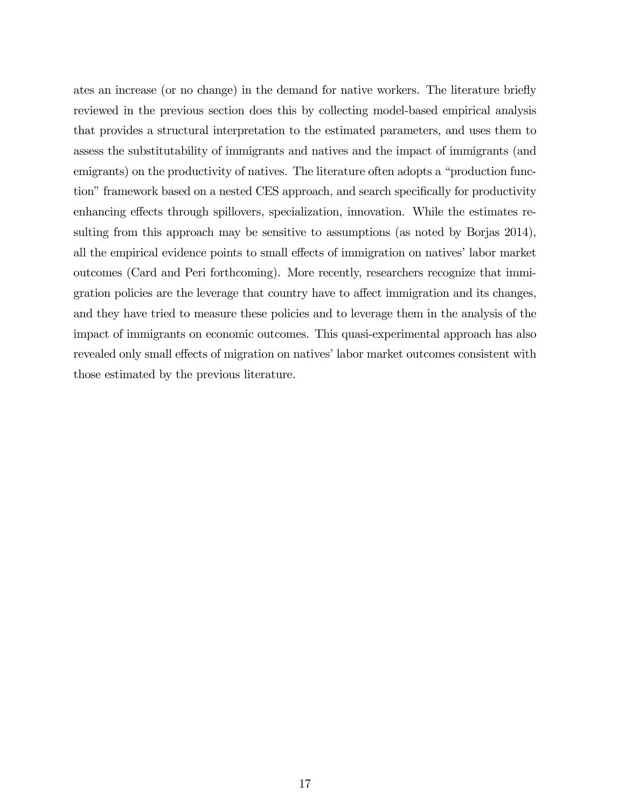ates an increase (or no change) in the demand for native workers. The literature briefly reviewed in the previous section does this by collecting model-based empirical analysis that provides a structural interpretation to the estimated parameters, and uses them to assess the substitutability of immigrants and natives and the impact of immigrants (and emigrants) on the productivity of natives. The literature often adopts a "production function" framework based on a nested CES approach, and search specifically for productivity enhancing effects through spillovers, specialization, innovation. While the estimates resulting from this approach may be sensitive to assumptions (as noted by Borjas 2014), all the empirical evidence points to small effects of immigration on natives' labor market outcomes (Card and Peri forthcoming). More recently, researchers recognize that immigration policies are the leverage that country have to affect immigration and its changes, and they have tried to measure these policies and to leverage them in the analysis of the impact of immigrants on economic outcomes. This quasi-experimental approach has also revealed only small effects of migration on natives' labor market outcomes consistent with those estimated by the previous literature.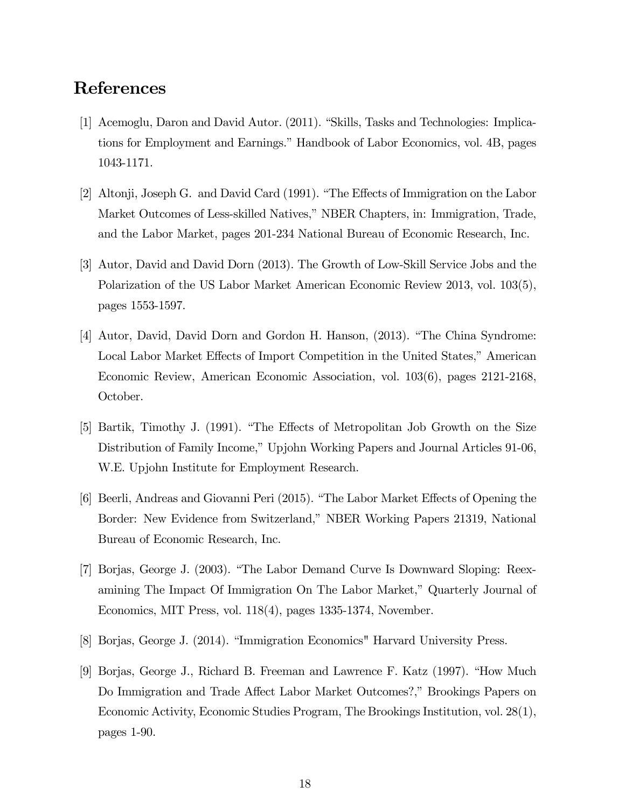### References

- [1] Acemoglu, Daron and David Autor. (2011). "Skills, Tasks and Technologies: Implications for Employment and Earnings." Handbook of Labor Economics, vol. 4B, pages 1043-1171.
- [2] Altonji, Joseph G. and David Card (1991). "The Effects of Immigration on the Labor Market Outcomes of Less-skilled Natives," NBER Chapters, in: Immigration, Trade, and the Labor Market, pages 201-234 National Bureau of Economic Research, Inc.
- [3] Autor, David and David Dorn (2013). The Growth of Low-Skill Service Jobs and the Polarization of the US Labor Market American Economic Review 2013, vol. 103(5), pages 1553-1597.
- [4] Autor, David, David Dorn and Gordon H. Hanson, (2013). "The China Syndrome: Local Labor Market Effects of Import Competition in the United States," American Economic Review, American Economic Association, vol. 103(6), pages 2121-2168, October.
- [5] Bartik, Timothy J. (1991). "The Effects of Metropolitan Job Growth on the Size Distribution of Family Income," Upjohn Working Papers and Journal Articles 91-06, W.E. Upjohn Institute for Employment Research.
- [6] Beerli, Andreas and Giovanni Peri (2015). "The Labor Market Effects of Opening the Border: New Evidence from Switzerland," NBER Working Papers 21319, National Bureau of Economic Research, Inc.
- [7] Borjas, George J. (2003). "The Labor Demand Curve Is Downward Sloping: Reexamining The Impact Of Immigration On The Labor Market," Quarterly Journal of Economics, MIT Press, vol. 118(4), pages 1335-1374, November.
- [8] Borjas, George J. (2014). "Immigration Economics" Harvard University Press.
- [9] Borjas, George J., Richard B. Freeman and Lawrence F. Katz (1997). "How Much Do Immigration and Trade Affect Labor Market Outcomes?," Brookings Papers on Economic Activity, Economic Studies Program, The Brookings Institution, vol. 28(1), pages 1-90.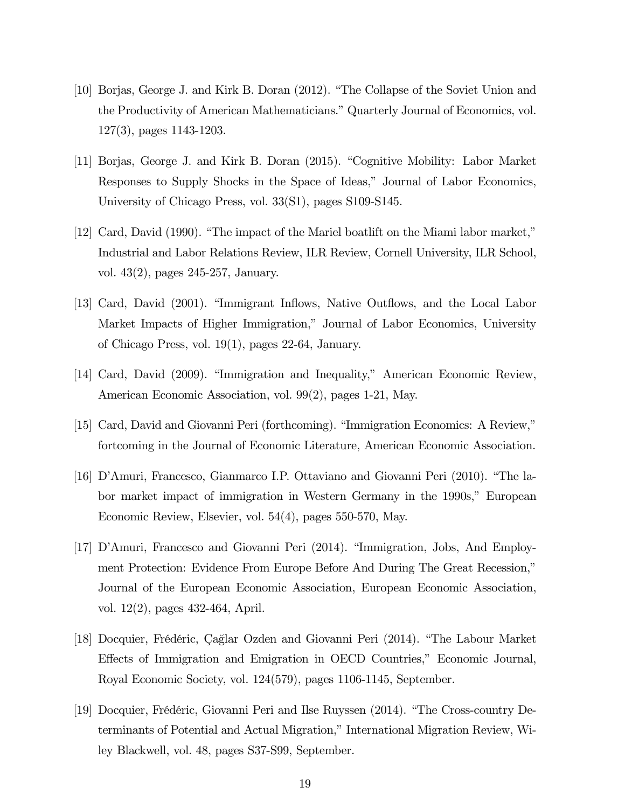- [10] Borjas, George J. and Kirk B. Doran (2012). "The Collapse of the Soviet Union and the Productivity of American Mathematicians." Quarterly Journal of Economics, vol. 127(3), pages 1143-1203.
- [11] Borjas, George J. and Kirk B. Doran (2015). "Cognitive Mobility: Labor Market Responses to Supply Shocks in the Space of Ideas," Journal of Labor Economics, University of Chicago Press, vol. 33(S1), pages S109-S145.
- [12] Card, David (1990). "The impact of the Mariel boatlift on the Miami labor market," Industrial and Labor Relations Review, ILR Review, Cornell University, ILR School, vol. 43(2), pages 245-257, January.
- [13] Card, David (2001). "Immigrant Inflows, Native Outflows, and the Local Labor Market Impacts of Higher Immigration," Journal of Labor Economics, University of Chicago Press, vol. 19(1), pages 22-64, January.
- [14] Card, David (2009). "Immigration and Inequality," American Economic Review, American Economic Association, vol. 99(2), pages 1-21, May.
- [15] Card, David and Giovanni Peri (forthcoming). "Immigration Economics: A Review," fortcoming in the Journal of Economic Literature, American Economic Association.
- [16] D'Amuri, Francesco, Gianmarco I.P. Ottaviano and Giovanni Peri (2010). "The labor market impact of immigration in Western Germany in the 1990s," European Economic Review, Elsevier, vol. 54(4), pages 550-570, May.
- [17] D'Amuri, Francesco and Giovanni Peri (2014). "Immigration, Jobs, And Employment Protection: Evidence From Europe Before And During The Great Recession," Journal of the European Economic Association, European Economic Association, vol. 12(2), pages 432-464, April.
- [18] Docquier, Frédéric, Çağlar Ozden and Giovanni Peri (2014). "The Labour Market Effects of Immigration and Emigration in OECD Countries," Economic Journal, Royal Economic Society, vol. 124(579), pages 1106-1145, September.
- [19] Docquier, Frédéric, Giovanni Peri and Ilse Ruyssen (2014). "The Cross-country Determinants of Potential and Actual Migration," International Migration Review, Wiley Blackwell, vol. 48, pages S37-S99, September.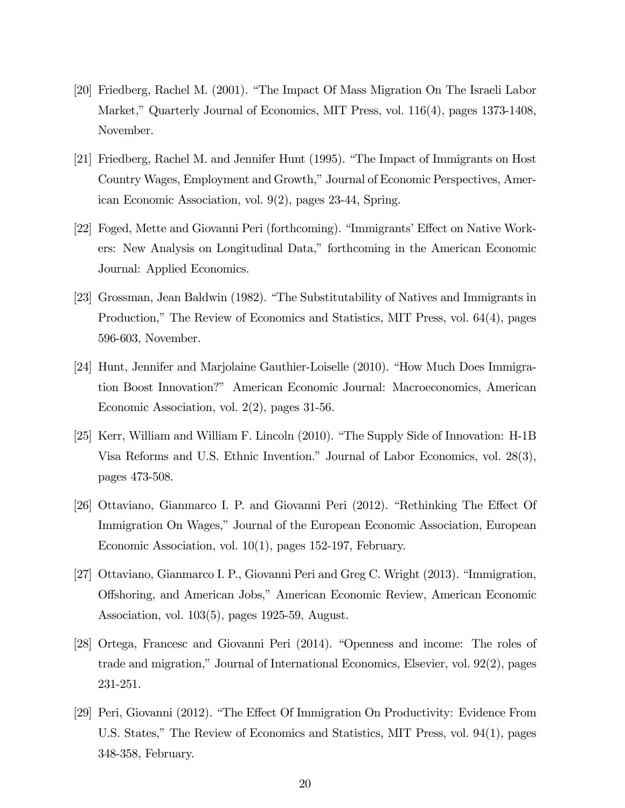- [20] Friedberg, Rachel M. (2001). "The Impact Of Mass Migration On The Israeli Labor Market," Quarterly Journal of Economics, MIT Press, vol. 116(4), pages 1373-1408, November.
- [21] Friedberg, Rachel M. and Jennifer Hunt (1995). "The Impact of Immigrants on Host Country Wages, Employment and Growth," Journal of Economic Perspectives, American Economic Association, vol. 9(2), pages 23-44, Spring.
- [22] Foged, Mette and Giovanni Peri (forthcoming). "Immigrants' Effect on Native Workers: New Analysis on Longitudinal Data," forthcoming in the American Economic Journal: Applied Economics.
- [23] Grossman, Jean Baldwin (1982). "The Substitutability of Natives and Immigrants in Production," The Review of Economics and Statistics, MIT Press, vol. 64(4), pages 596-603, November.
- [24] Hunt, Jennifer and Marjolaine Gauthier-Loiselle (2010). "How Much Does Immigration Boost Innovation?" American Economic Journal: Macroeconomics, American Economic Association, vol. 2(2), pages 31-56.
- [25] Kerr, William and William F. Lincoln (2010). "The Supply Side of Innovation: H-1B Visa Reforms and U.S. Ethnic Invention." Journal of Labor Economics, vol. 28(3), pages 473-508.
- [26] Ottaviano, Gianmarco I. P. and Giovanni Peri (2012). "Rethinking The Effect Of Immigration On Wages," Journal of the European Economic Association, European Economic Association, vol. 10(1), pages 152-197, February.
- [27] Ottaviano, Gianmarco I. P., Giovanni Peri and Greg C. Wright (2013). "Immigration, Offshoring, and American Jobs," American Economic Review, American Economic Association, vol. 103(5), pages 1925-59, August.
- [28] Ortega, Francesc and Giovanni Peri (2014). "Openness and income: The roles of trade and migration," Journal of International Economics, Elsevier, vol. 92(2), pages 231-251.
- [29] Peri, Giovanni (2012). "The Effect Of Immigration On Productivity: Evidence From U.S. States," The Review of Economics and Statistics, MIT Press, vol. 94(1), pages 348-358, February.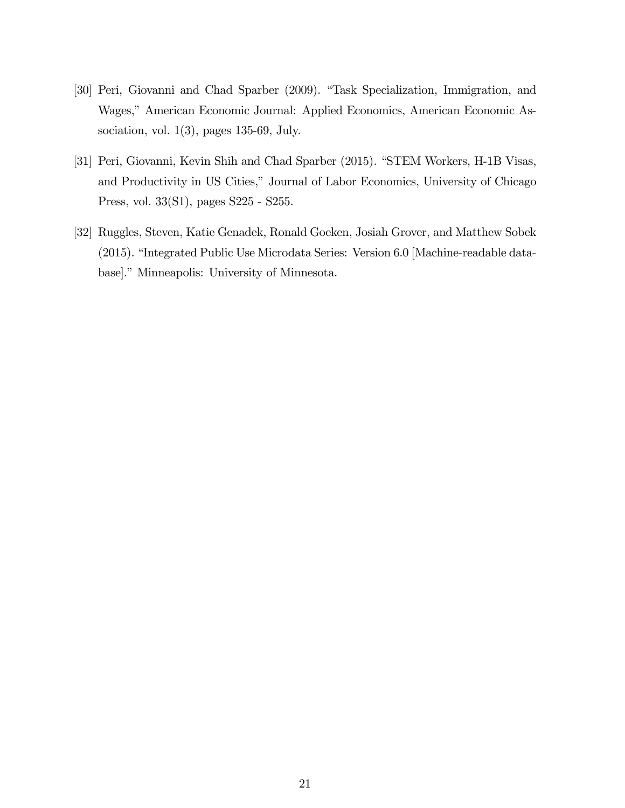- [30] Peri, Giovanni and Chad Sparber (2009). "Task Specialization, Immigration, and Wages," American Economic Journal: Applied Economics, American Economic Association, vol.  $1(3)$ , pages 135-69, July.
- [31] Peri, Giovanni, Kevin Shih and Chad Sparber (2015). "STEM Workers, H-1B Visas, and Productivity in US Cities," Journal of Labor Economics, University of Chicago Press, vol. 33(S1), pages S225 - S255.
- [32] Ruggles, Steven, Katie Genadek, Ronald Goeken, Josiah Grover, and Matthew Sobek (2015). "Integrated Public Use Microdata Series: Version 6.0 [Machine-readable database]." Minneapolis: University of Minnesota.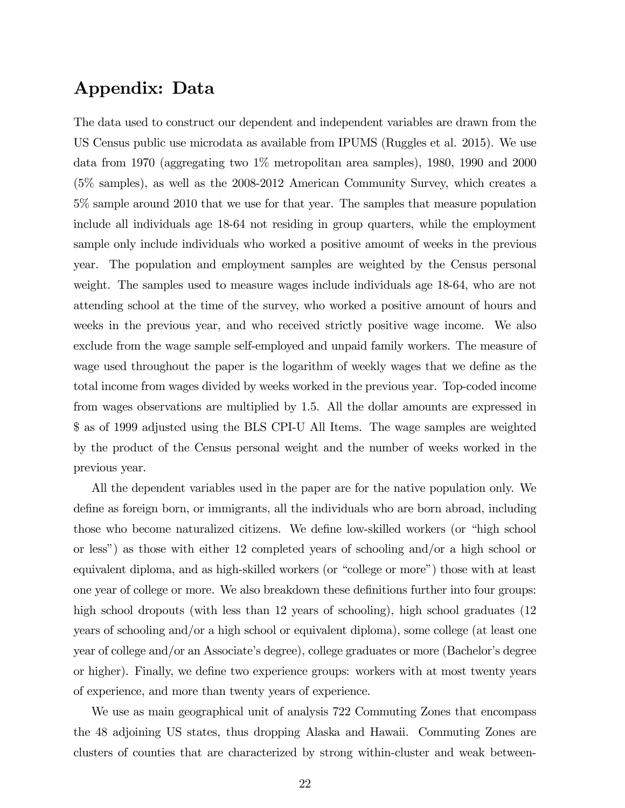### Appendix: Data

The data used to construct our dependent and independent variables are drawn from the US Census public use microdata as available from IPUMS (Ruggles et al. 2015). We use data from 1970 (aggregating two 1% metropolitan area samples), 1980, 1990 and 2000 (5% samples), as well as the 2008-2012 American Community Survey, which creates a 5% sample around 2010 that we use for that year. The samples that measure population include all individuals age 18-64 not residing in group quarters, while the employment sample only include individuals who worked a positive amount of weeks in the previous year. The population and employment samples are weighted by the Census personal weight. The samples used to measure wages include individuals age 18-64, who are not attending school at the time of the survey, who worked a positive amount of hours and weeks in the previous year, and who received strictly positive wage income. We also exclude from the wage sample self-employed and unpaid family workers. The measure of wage used throughout the paper is the logarithm of weekly wages that we define as the total income from wages divided by weeks worked in the previous year. Top-coded income from wages observations are multiplied by 1.5. All the dollar amounts are expressed in \$ as of 1999 adjusted using the BLS CPI-U All Items. The wage samples are weighted by the product of the Census personal weight and the number of weeks worked in the previous year.

All the dependent variables used in the paper are for the native population only. We define as foreign born, or immigrants, all the individuals who are born abroad, including those who become naturalized citizens. We define low-skilled workers (or "high school or less") as those with either 12 completed years of schooling and/or a high school or equivalent diploma, and as high-skilled workers (or "college or more") those with at least one year of college or more. We also breakdown these definitions further into four groups: high school dropouts (with less than 12 years of schooling), high school graduates (12 years of schooling and/or a high school or equivalent diploma), some college (at least one year of college and/or an Associate's degree), college graduates or more (Bachelor's degree or higher). Finally, we define two experience groups: workers with at most twenty years of experience, and more than twenty years of experience.

We use as main geographical unit of analysis 722 Commuting Zones that encompass the 48 adjoining US states, thus dropping Alaska and Hawaii. Commuting Zones are clusters of counties that are characterized by strong within-cluster and weak between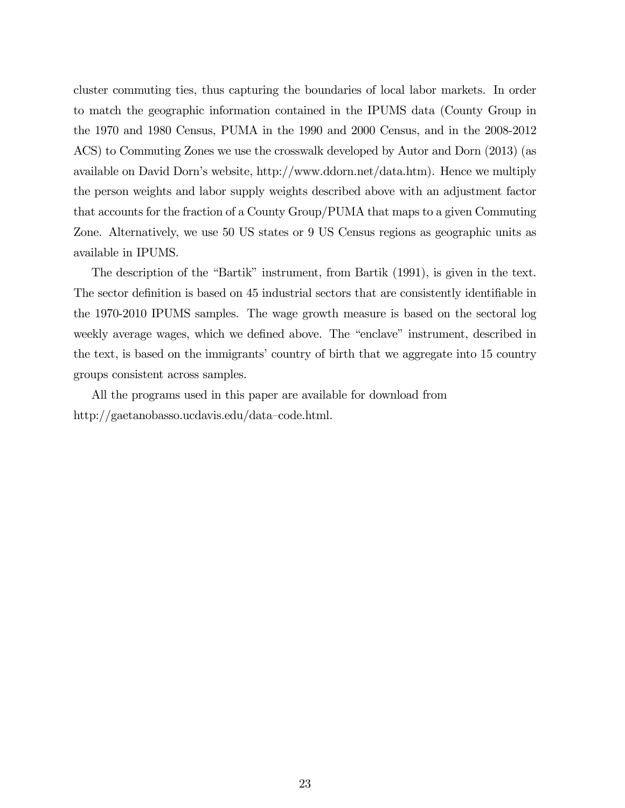cluster commuting ties, thus capturing the boundaries of local labor markets. In order to match the geographic information contained in the IPUMS data (County Group in the 1970 and 1980 Census, PUMA in the 1990 and 2000 Census, and in the 2008-2012 ACS) to Commuting Zones we use the crosswalk developed by Autor and Dorn (2013) (as available on David Dorn's website, http://www.ddorn.net/data.htm). Hence we multiply the person weights and labor supply weights described above with an adjustment factor that accounts for the fraction of a County Group/PUMA that maps to a given Commuting Zone. Alternatively, we use 50 US states or 9 US Census regions as geographic units as available in IPUMS.

The description of the "Bartik" instrument, from Bartik (1991), is given in the text. The sector definition is based on 45 industrial sectors that are consistently identifiable in the 1970-2010 IPUMS samples. The wage growth measure is based on the sectoral log weekly average wages, which we defined above. The "enclave" instrument, described in the text, is based on the immigrants' country of birth that we aggregate into 15 country groups consistent across samples.

All the programs used in this paper are available for download from http://gaetanobasso.ucdavis.edu/data—code.html.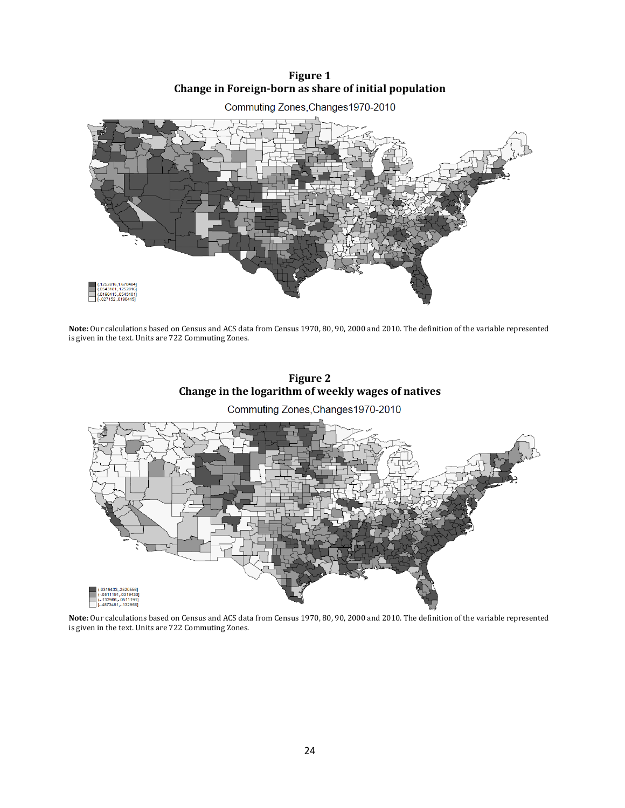**Figure 1 Change in Foreign-born as share of initial population** 



**Note:** Our calculations based on Census and ACS data from Census 1970, 80, 90, 2000 and 2010. The definition of the variable represented is given in the text. Units are 722 Commuting Zones.



Commuting Zones, Changes 1970-2010



**Note:** Our calculations based on Census and ACS data from Census 1970, 80, 90, 2000 and 2010. The definition of the variable represented is given in the text. Units are 722 Commuting Zones.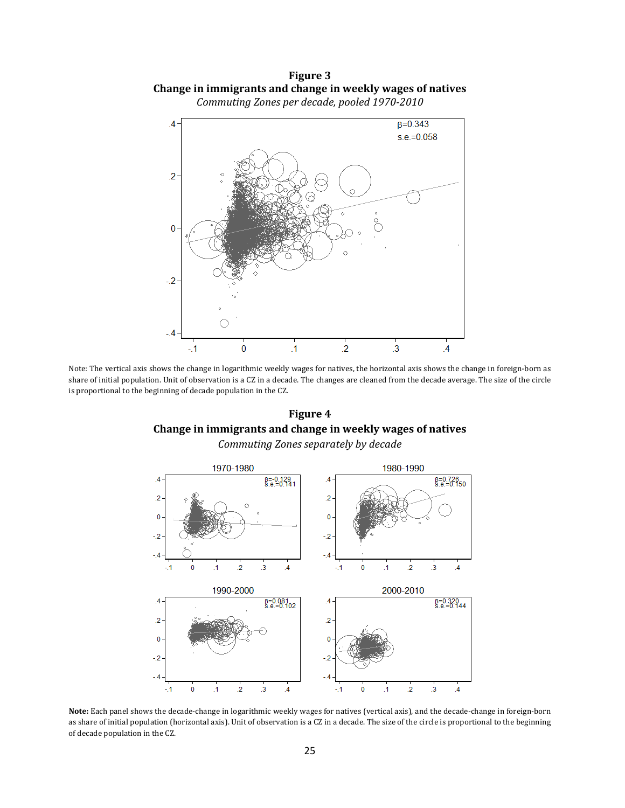**Figure 3 Change in immigrants and change in weekly wages of natives**  *Commuting Zones per decade, pooled 1970-2010* 



Note: The vertical axis shows the change in logarithmic weekly wages for natives, the horizontal axis shows the change in foreign-born as share of initial population. Unit of observation is a CZ in a decade. The changes are cleaned from the decade average. The size of the circle is proportional to the beginning of decade population in the CZ.

**Figure 4 Change in immigrants and change in weekly wages of natives**  *Commuting Zones separately by decade* 



**Note:** Each panel shows the decade-change in logarithmic weekly wages for natives (vertical axis), and the decade-change in foreign-born as share of initial population (horizontal axis). Unit of observation is a CZ in a decade. The size of the circle is proportional to the beginning of decade population in the CZ.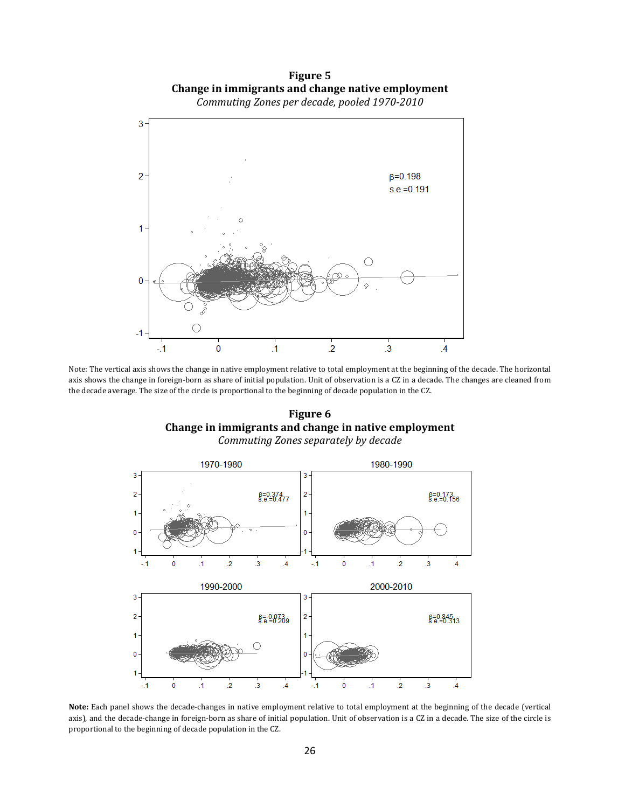**Figure 5 Change in immigrants and change native employment**  *Commuting Zones per decade, pooled 1970-2010* 



Note: The vertical axis shows the change in native employment relative to total employment at the beginning of the decade. The horizontal axis shows the change in foreign-born as share of initial population. Unit of observation is a CZ in a decade. The changes are cleaned from the decade average. The size of the circle is proportional to the beginning of decade population in the CZ.

**Figure 6 Change in immigrants and change in native employment**  *Commuting Zones separately by decade* 



**Note:** Each panel shows the decade-changes in native employment relative to total employment at the beginning of the decade (vertical axis), and the decade-change in foreign-born as share of initial population. Unit of observation is a CZ in a decade. The size of the circle is proportional to the beginning of decade population in the CZ.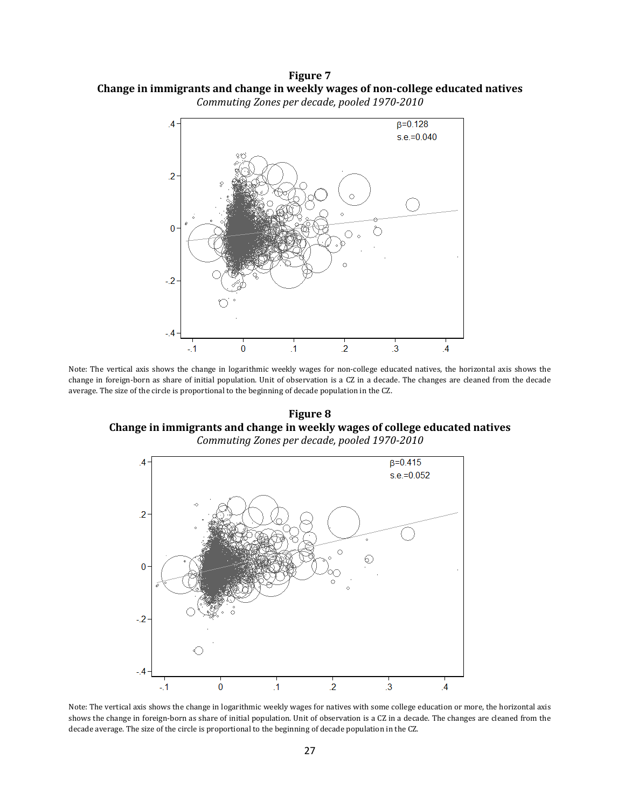**Figure 7 Change in immigrants and change in weekly wages of non-college educated natives**  *Commuting Zones per decade, pooled 1970-2010* 



Note: The vertical axis shows the change in logarithmic weekly wages for non-college educated natives, the horizontal axis shows the change in foreign-born as share of initial population. Unit of observation is a CZ in a decade. The changes are cleaned from the decade average. The size of the circle is proportional to the beginning of decade population in the CZ.

**Figure 8 Change in immigrants and change in weekly wages of college educated natives**  *Commuting Zones per decade, pooled 1970-2010* 



Note: The vertical axis shows the change in logarithmic weekly wages for natives with some college education or more, the horizontal axis shows the change in foreign-born as share of initial population. Unit of observation is a CZ in a decade. The changes are cleaned from the decade average. The size of the circle is proportional to the beginning of decade population in the CZ.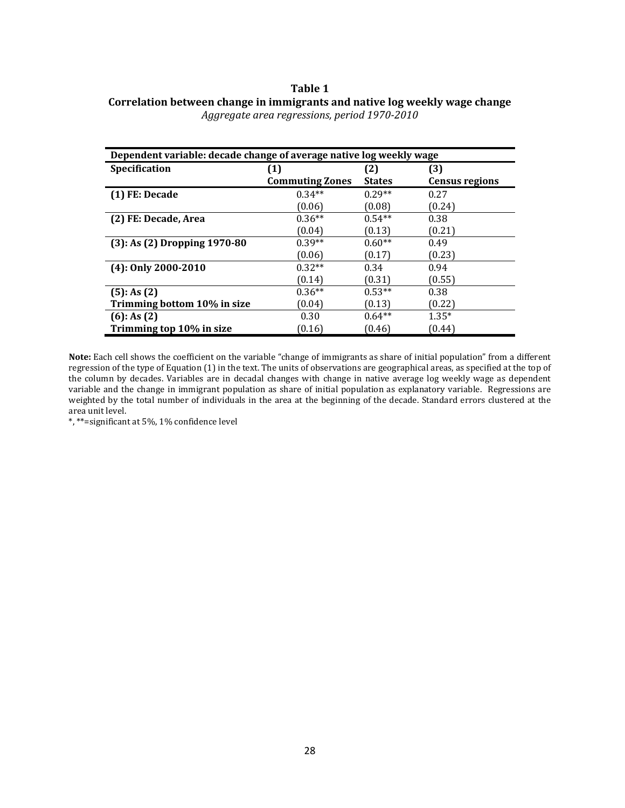#### **Table 1**

| Correlation between change in immigrants and native log weekly wage change |  |
|----------------------------------------------------------------------------|--|
| Aggregate area regressions, period 1970-2010                               |  |

| Dependent variable: decade change of average native log weekly wage |                        |               |                       |
|---------------------------------------------------------------------|------------------------|---------------|-----------------------|
| <b>Specification</b>                                                | (1)                    | (2)           | (3)                   |
|                                                                     | <b>Commuting Zones</b> | <b>States</b> | <b>Census regions</b> |
| (1) FE: Decade                                                      | $0.34**$               | $0.29**$      | 0.27                  |
|                                                                     | (0.06)                 | (0.08)        | (0.24)                |
| (2) FE: Decade, Area                                                | $0.36**$               | $0.54**$      | 0.38                  |
|                                                                     | (0.04)                 | (0.13)        | (0.21)                |
| $(3)$ : As $(2)$ Dropping 1970-80                                   | $0.39**$               | $0.60**$      | 0.49                  |
|                                                                     | (0.06)                 | (0.17)        | (0.23)                |
| $(4)$ : Only 2000-2010                                              | $0.32**$               | 0.34          | 0.94                  |
|                                                                     | (0.14)                 | (0.31)        | (0.55)                |
| $(5)$ : As $(2)$                                                    | $0.36**$               | $0.53**$      | 0.38                  |
| Trimming bottom 10% in size                                         | (0.04)                 | (0.13)        | (0.22)                |
| $(6)$ : As $(2)$                                                    | 0.30                   | $0.64**$      | $1.35*$               |
| Trimming top 10% in size                                            | (0.16)                 | (0.46)        | (0.44)                |

**Note:** Each cell shows the coefficient on the variable "change of immigrants as share of initial population" from a different regression of the type of Equation (1) in the text. The units of observations are geographical areas, as specified at the top of the column by decades. Variables are in decadal changes with change in native average log weekly wage as dependent variable and the change in immigrant population as share of initial population as explanatory variable. Regressions are weighted by the total number of individuals in the area at the beginning of the decade. Standard errors clustered at the area unit level.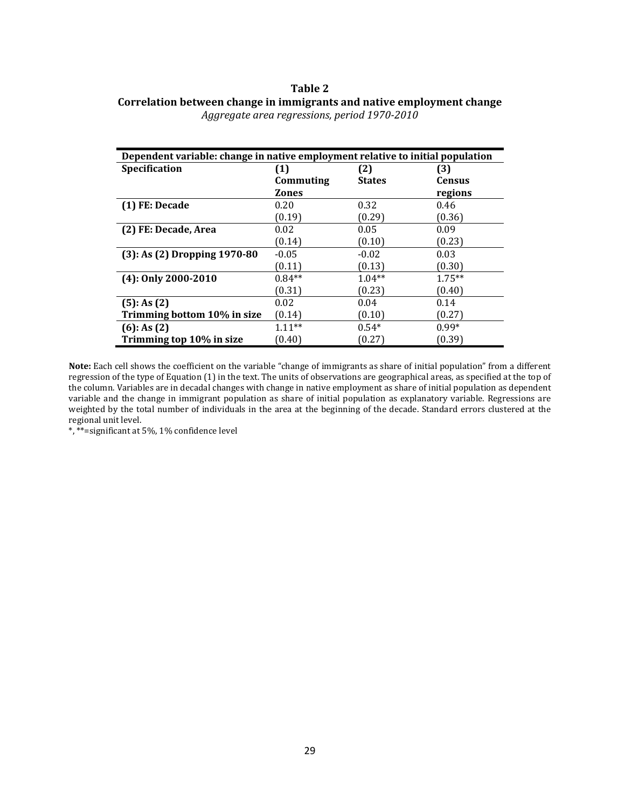### **Table 2 Correlation between change in immigrants and native employment change**

| Dependent variable: change in native employment relative to initial population |              |               |                  |
|--------------------------------------------------------------------------------|--------------|---------------|------------------|
| Specification                                                                  | (1)          | (2)           | $\left(3\right)$ |
|                                                                                | Commuting    | <b>States</b> | Census           |
|                                                                                | <b>Zones</b> |               | regions          |
| (1) FE: Decade                                                                 | 0.20         | 0.32          | 0.46             |
|                                                                                | (0.19)       | (0.29)        | (0.36)           |
| (2) FE: Decade, Area                                                           | 0.02         | 0.05          | 0.09             |
|                                                                                | (0.14)       | (0.10)        | (0.23)           |
| $(3)$ : As $(2)$ Dropping 1970-80                                              | $-0.05$      | $-0.02$       | 0.03             |
|                                                                                | (0.11)       | (0.13)        | (0.30)           |
| $(4)$ : Only 2000-2010                                                         | $0.84**$     | $1.04**$      | $1.75**$         |
|                                                                                | (0.31)       | (0.23)        | (0.40)           |
| $(5)$ : As $(2)$                                                               | 0.02         | 0.04          | 0.14             |
| Trimming bottom 10% in size                                                    | (0.14)       | (0.10)        | (0.27)           |
| $(6)$ : As $(2)$                                                               | $1.11***$    | $0.54*$       | $0.99*$          |
| Trimming top 10% in size                                                       | (0.40)       | (0.27)        | (0.39)           |

*Aggregate area regressions, period 1970-2010* 

**Note:** Each cell shows the coefficient on the variable "change of immigrants as share of initial population" from a different regression of the type of Equation (1) in the text. The units of observations are geographical areas, as specified at the top of the column. Variables are in decadal changes with change in native employment as share of initial population as dependent variable and the change in immigrant population as share of initial population as explanatory variable. Regressions are weighted by the total number of individuals in the area at the beginning of the decade. Standard errors clustered at the regional unit level.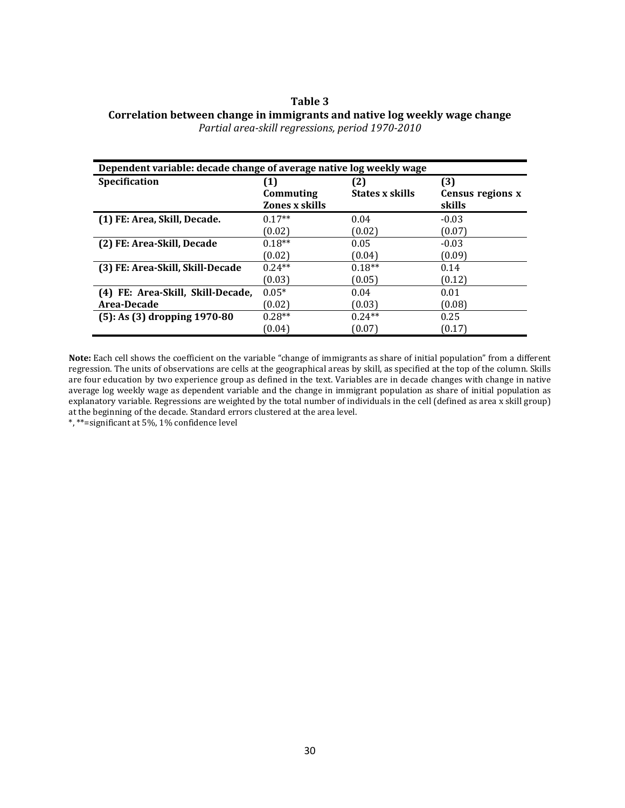#### **Table 3 Correlation between change in immigrants and native log weekly wage change**  *Partial area-skill regressions, period 1970-2010*

| Dependent variable: decade change of average native log weekly wage |                |                 |                  |  |
|---------------------------------------------------------------------|----------------|-----------------|------------------|--|
| Specification                                                       | (1)            | 2)              | (3)              |  |
|                                                                     | Commuting      | States x skills | Census regions x |  |
|                                                                     | Zones x skills |                 | skills           |  |
| (1) FE: Area, Skill, Decade.                                        | $0.17**$       | 0.04            | $-0.03$          |  |
|                                                                     | (0.02)         | (0.02)          | (0.07)           |  |
| (2) FE: Area-Skill, Decade                                          | $0.18**$       | 0.05            | $-0.03$          |  |
|                                                                     | (0.02)         | (0.04)          | (0.09)           |  |
| (3) FE: Area-Skill, Skill-Decade                                    | $0.24**$       | $0.18**$        | 0.14             |  |
|                                                                     | (0.03)         | (0.05)          | (0.12)           |  |
| (4) FE: Area-Skill, Skill-Decade,                                   | $0.05*$        | 0.04            | 0.01             |  |
| Area-Decade                                                         | (0.02)         | (0.03)          | (0.08)           |  |
| $(5)$ : As $(3)$ dropping 1970-80                                   | $0.28**$       | $0.24**$        | 0.25             |  |
|                                                                     | (0.04)         | (0.07)          | (0.17)           |  |

**Note:** Each cell shows the coefficient on the variable "change of immigrants as share of initial population" from a different regression. The units of observations are cells at the geographical areas by skill, as specified at the top of the column. Skills are four education by two experience group as defined in the text. Variables are in decade changes with change in native average log weekly wage as dependent variable and the change in immigrant population as share of initial population as explanatory variable. Regressions are weighted by the total number of individuals in the cell (defined as area x skill group) at the beginning of the decade. Standard errors clustered at the area level.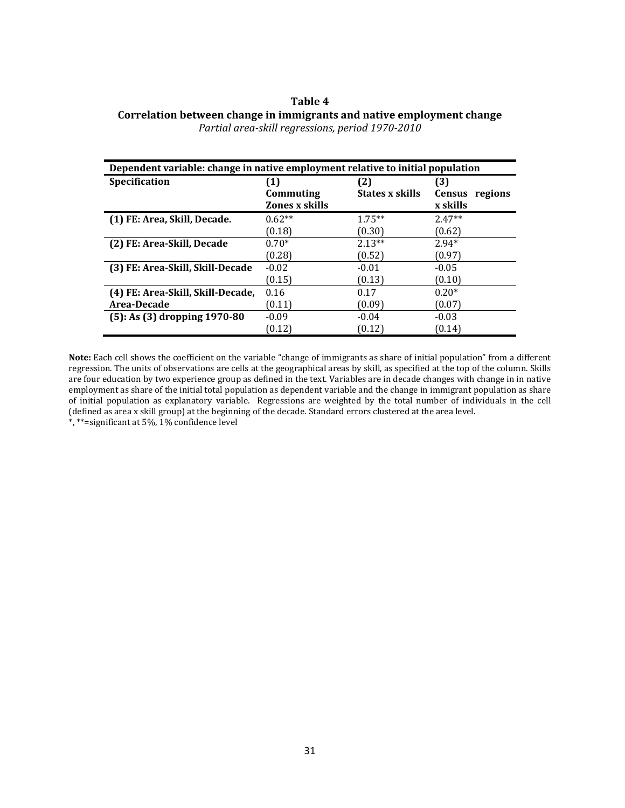#### **Table 4 Correlation between change in immigrants and native employment change**  *Partial area-skill regressions, period 1970-2010*

| Dependent variable: change in native employment relative to initial population |                                  |                 |                          |  |
|--------------------------------------------------------------------------------|----------------------------------|-----------------|--------------------------|--|
| <b>Specification</b>                                                           | $\mathbf{\mathbf{\mathbf{(1)}}}$ | (2)             | (3)                      |  |
|                                                                                | Commuting                        | States x skills | <b>Census</b><br>regions |  |
|                                                                                | Zones x skills                   |                 | x skills                 |  |
| (1) FE: Area, Skill, Decade.                                                   | $0.62**$                         | $1.75**$        | $2.47**$                 |  |
|                                                                                | (0.18)                           | (0.30)          | (0.62)                   |  |
| (2) FE: Area-Skill, Decade                                                     | $0.70*$                          | $2.13**$        | $2.94*$                  |  |
|                                                                                | (0.28)                           | (0.52)          | (0.97)                   |  |
| (3) FE: Area-Skill, Skill-Decade                                               | $-0.02$                          | $-0.01$         | $-0.05$                  |  |
|                                                                                | (0.15)                           | (0.13)          | (0.10)                   |  |
| (4) FE: Area-Skill, Skill-Decade,                                              | 0.16                             | 0.17            | $0.20*$                  |  |
| Area-Decade                                                                    | (0.11)                           | (0.09)          | (0.07)                   |  |
| $(5)$ : As $(3)$ dropping 1970-80                                              | $-0.09$                          | $-0.04$         | $-0.03$                  |  |
|                                                                                | (0.12)                           | (0.12)          | (0.14)                   |  |

**Note:** Each cell shows the coefficient on the variable "change of immigrants as share of initial population" from a different regression. The units of observations are cells at the geographical areas by skill, as specified at the top of the column. Skills are four education by two experience group as defined in the text. Variables are in decade changes with change in in native employment as share of the initial total population as dependent variable and the change in immigrant population as share of initial population as explanatory variable. Regressions are weighted by the total number of individuals in the cell (defined as area x skill group) at the beginning of the decade. Standard errors clustered at the area level. \*, \*\*=significant at 5%, 1% confidence level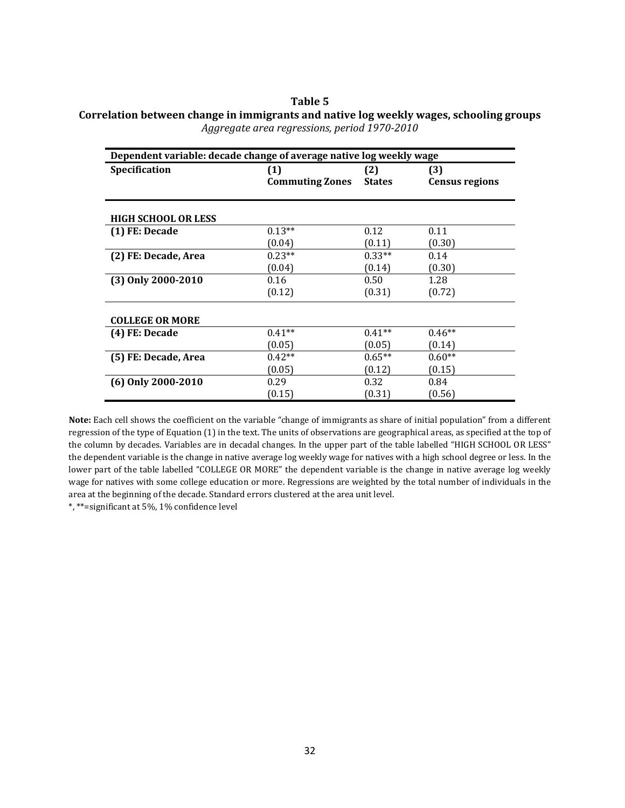#### **Table 5 Correlation between change in immigrants and native log weekly wages, schooling groups**  *Aggregate area regressions, period 1970-2010*

| Dependent variable: decade change of average native log weekly wage |                               |                      |                              |  |
|---------------------------------------------------------------------|-------------------------------|----------------------|------------------------------|--|
| Specification                                                       | (1)<br><b>Commuting Zones</b> | (2)<br><b>States</b> | (3)<br><b>Census regions</b> |  |
| <b>HIGH SCHOOL OR LESS</b>                                          |                               |                      |                              |  |
| (1) FE: Decade                                                      | $0.13**$                      | 0.12                 | 0.11                         |  |
|                                                                     | (0.04)                        | (0.11)               | (0.30)                       |  |
| (2) FE: Decade, Area                                                | $0.23**$                      | $0.33**$             | 0.14                         |  |
|                                                                     | (0.04)                        | (0.14)               | (0.30)                       |  |
| (3) Only 2000-2010                                                  | 0.16                          | 0.50                 | 1.28                         |  |
|                                                                     | (0.12)                        | (0.31)               | (0.72)                       |  |
| <b>COLLEGE OR MORE</b>                                              |                               |                      |                              |  |
| (4) FE: Decade                                                      | $0.41**$                      | $0.41**$             | $0.46**$                     |  |
|                                                                     | (0.05)                        | (0.05)               | (0.14)                       |  |
| (5) FE: Decade, Area                                                | $0.42**$                      | $0.65**$             | $0.60**$                     |  |
|                                                                     | (0.05)                        | (0.12)               | (0.15)                       |  |
| (6) Only 2000-2010                                                  | 0.29                          | 0.32                 | 0.84                         |  |
|                                                                     | (0.15)                        | (0.31)               | (0.56)                       |  |

**Note:** Each cell shows the coefficient on the variable "change of immigrants as share of initial population" from a different regression of the type of Equation (1) in the text. The units of observations are geographical areas, as specified at the top of the column by decades. Variables are in decadal changes. In the upper part of the table labelled "HIGH SCHOOL OR LESS" the dependent variable is the change in native average log weekly wage for natives with a high school degree or less. In the lower part of the table labelled "COLLEGE OR MORE" the dependent variable is the change in native average log weekly wage for natives with some college education or more. Regressions are weighted by the total number of individuals in the area at the beginning of the decade. Standard errors clustered at the area unit level.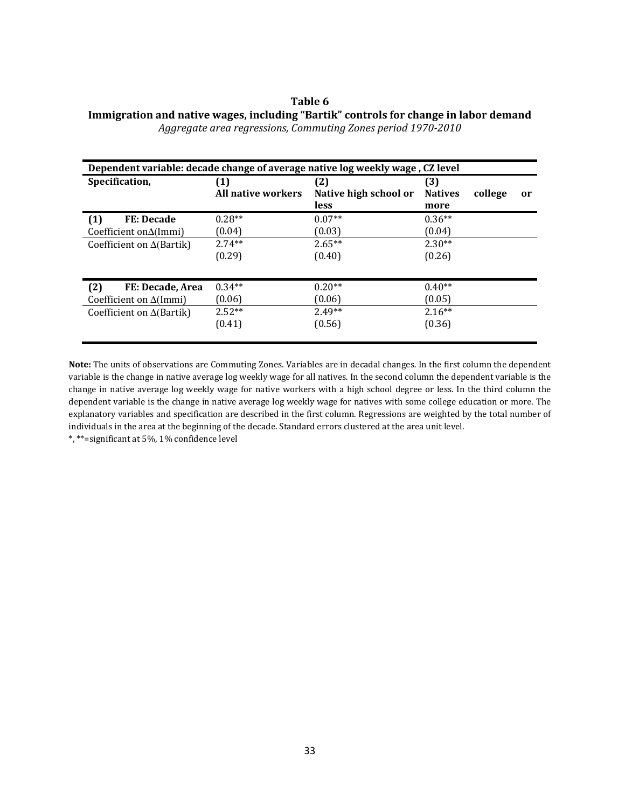#### **Table 6 Immigration and native wages, including "Bartik" controls for change in labor demand**  *Aggregate area regressions, Commuting Zones period 1970-2010*

| Dependent variable: decade change of average native log weekly wage, CZ level |                           |                                             |                               |         |               |
|-------------------------------------------------------------------------------|---------------------------|---------------------------------------------|-------------------------------|---------|---------------|
| Specification,                                                                | (1)<br>All native workers | (2)<br>Native high school or<br><b>less</b> | (3)<br><b>Natives</b><br>more | college | <sub>or</sub> |
| <b>FE: Decade</b><br>(1)                                                      | $0.28**$                  | $0.07**$                                    | $0.36**$                      |         |               |
| Coefficient on $\Delta$ (Immi)                                                | (0.04)                    | (0.03)                                      | (0.04)                        |         |               |
| Coefficient on $\Delta$ (Bartik)                                              | $2.74**$                  | $2.65**$                                    | $2.30**$                      |         |               |
|                                                                               | (0.29)                    | (0.40)                                      | (0.26)                        |         |               |
| (2)<br>FE: Decade, Area                                                       | $0.34**$                  | $0.20**$                                    | $0.40**$                      |         |               |
| Coefficient on $\Delta$ (Immi)                                                | (0.06)                    | (0.06)                                      | (0.05)                        |         |               |
| Coefficient on $\Delta$ (Bartik)                                              | $2.52**$                  | $2.49**$                                    | $2.16**$                      |         |               |
|                                                                               | (0.41)                    | (0.56)                                      | (0.36)                        |         |               |

**Note:** The units of observations are Commuting Zones. Variables are in decadal changes. In the first column the dependent variable is the change in native average log weekly wage for all natives. In the second column the dependent variable is the change in native average log weekly wage for native workers with a high school degree or less. In the third column the dependent variable is the change in native average log weekly wage for natives with some college education or more. The explanatory variables and specification are described in the first column. Regressions are weighted by the total number of individuals in the area at the beginning of the decade. Standard errors clustered at the area unit level.